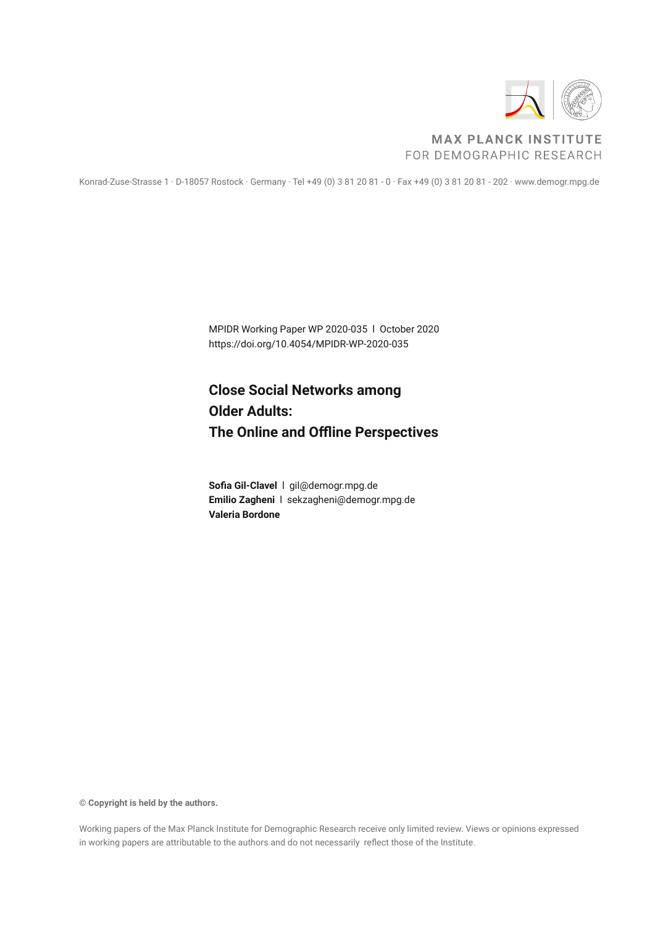

#### **MAX PLANCK INSTITUTE** FOR DEMOGRAPHIC RESEARCH

Konrad-Zuse-Strasse 1 · D-18057 Rostock · Germany · Tel +49 (0) 3 81 20 81 - 0 · Fax +49 (0) 3 81 20 81 - 202 · www.demogr.mpg.de

MPIDR Working Paper WP 2020-035 l October 2020 https://doi.org/10.4054/MPIDR-WP-2020-035

# **Close Social Networks among Older Adults: The Online and Offline Perspectives**

**Sofia Gil-Clavel** l gil@demogr.mpg.de **Emilio Zagheni** l sekzagheni@demogr.mpg.de **Valeria Bordone**

**© Copyright is held by the authors.**

Working papers of the Max Planck Institute for Demographic Research receive only limited review. Views or opinions expressed in working papers are attributable to the authors and do not necessarily reflect those of the Institute.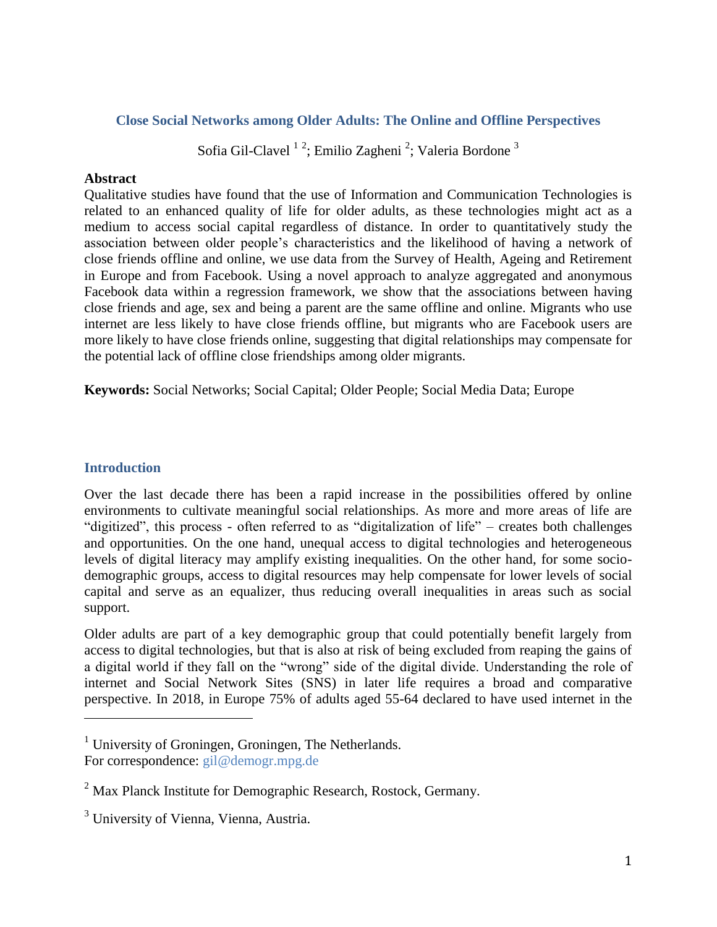#### **Close Social Networks among Older Adults: The Online and Offline Perspectives**

## Sofia Gil-Clavel<sup>12</sup>; Emilio Zagheni<sup>2</sup>; Valeria Bordone<sup>3</sup>

#### **Abstract**

Qualitative studies have found that the use of Information and Communication Technologies is related to an enhanced quality of life for older adults, as these technologies might act as a medium to access social capital regardless of distance. In order to quantitatively study the association between older people's characteristics and the likelihood of having a network of close friends offline and online, we use data from the Survey of Health, Ageing and Retirement in Europe and from Facebook. Using a novel approach to analyze aggregated and anonymous Facebook data within a regression framework, we show that the associations between having close friends and age, sex and being a parent are the same offline and online. Migrants who use internet are less likely to have close friends offline, but migrants who are Facebook users are more likely to have close friends online, suggesting that digital relationships may compensate for the potential lack of offline close friendships among older migrants.

**Keywords:** Social Networks; Social Capital; Older People; Social Media Data; Europe

#### **Introduction**

l

Over the last decade there has been a rapid increase in the possibilities offered by online environments to cultivate meaningful social relationships. As more and more areas of life are "digitized", this process - often referred to as "digitalization of life" – creates both challenges and opportunities. On the one hand, unequal access to digital technologies and heterogeneous levels of digital literacy may amplify existing inequalities. On the other hand, for some sociodemographic groups, access to digital resources may help compensate for lower levels of social capital and serve as an equalizer, thus reducing overall inequalities in areas such as social support.

Older adults are part of a key demographic group that could potentially benefit largely from access to digital technologies, but that is also at risk of being excluded from reaping the gains of a digital world if they fall on the "wrong" side of the digital divide. Understanding the role of internet and Social Network Sites (SNS) in later life requires a broad and comparative perspective. In 2018, in Europe 75% of adults aged 55-64 declared to have used internet in the

 $1$  University of Groningen, Groningen, The Netherlands. For correspondence: [gil@demogr.mpg.de](mailto:gil@demogr.mpg.de)

<sup>2</sup> Max Planck Institute for Demographic Research, Rostock, Germany.

<sup>&</sup>lt;sup>3</sup> University of Vienna, Vienna, Austria.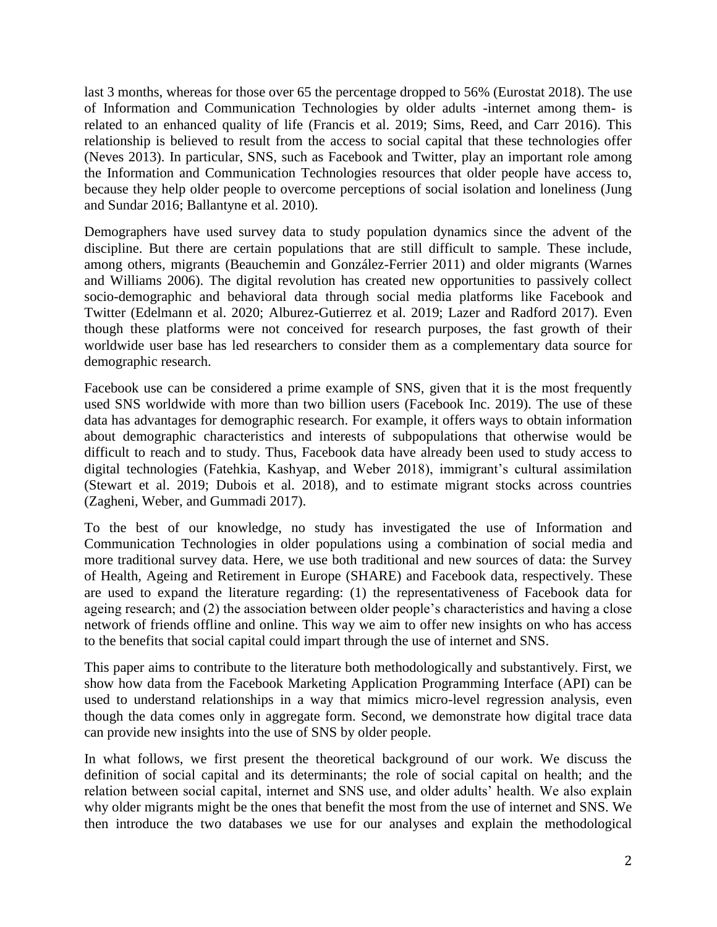last 3 months, whereas for those over 65 the percentage dropped to 56% (Eurostat 2018). The use of Information and Communication Technologies by older adults -internet among them- is related to an enhanced quality of life (Francis et al. 2019; Sims, Reed, and Carr 2016). This relationship is believed to result from the access to social capital that these technologies offer (Neves 2013). In particular, SNS, such as Facebook and Twitter, play an important role among the Information and Communication Technologies resources that older people have access to, because they help older people to overcome perceptions of social isolation and loneliness (Jung and Sundar 2016; Ballantyne et al. 2010).

Demographers have used survey data to study population dynamics since the advent of the discipline. But there are certain populations that are still difficult to sample. These include, among others, migrants (Beauchemin and González-Ferrier 2011) and older migrants (Warnes and Williams 2006). The digital revolution has created new opportunities to passively collect socio-demographic and behavioral data through social media platforms like Facebook and Twitter (Edelmann et al. 2020; Alburez-Gutierrez et al. 2019; Lazer and Radford 2017). Even though these platforms were not conceived for research purposes, the fast growth of their worldwide user base has led researchers to consider them as a complementary data source for demographic research.

Facebook use can be considered a prime example of SNS, given that it is the most frequently used SNS worldwide with more than two billion users (Facebook Inc. 2019). The use of these data has advantages for demographic research. For example, it offers ways to obtain information about demographic characteristics and interests of subpopulations that otherwise would be difficult to reach and to study. Thus, Facebook data have already been used to study access to digital technologies (Fatehkia, Kashyap, and Weber 2018), immigrant's cultural assimilation (Stewart et al. 2019; Dubois et al. 2018), and to estimate migrant stocks across countries (Zagheni, Weber, and Gummadi 2017).

To the best of our knowledge, no study has investigated the use of Information and Communication Technologies in older populations using a combination of social media and more traditional survey data. Here, we use both traditional and new sources of data: the Survey of Health, Ageing and Retirement in Europe (SHARE) and Facebook data, respectively. These are used to expand the literature regarding: (1) the representativeness of Facebook data for ageing research; and (2) the association between older people's characteristics and having a close network of friends offline and online. This way we aim to offer new insights on who has access to the benefits that social capital could impart through the use of internet and SNS.

This paper aims to contribute to the literature both methodologically and substantively. First, we show how data from the Facebook Marketing Application Programming Interface (API) can be used to understand relationships in a way that mimics micro-level regression analysis, even though the data comes only in aggregate form. Second, we demonstrate how digital trace data can provide new insights into the use of SNS by older people.

In what follows, we first present the theoretical background of our work. We discuss the definition of social capital and its determinants; the role of social capital on health; and the relation between social capital, internet and SNS use, and older adults' health. We also explain why older migrants might be the ones that benefit the most from the use of internet and SNS. We then introduce the two databases we use for our analyses and explain the methodological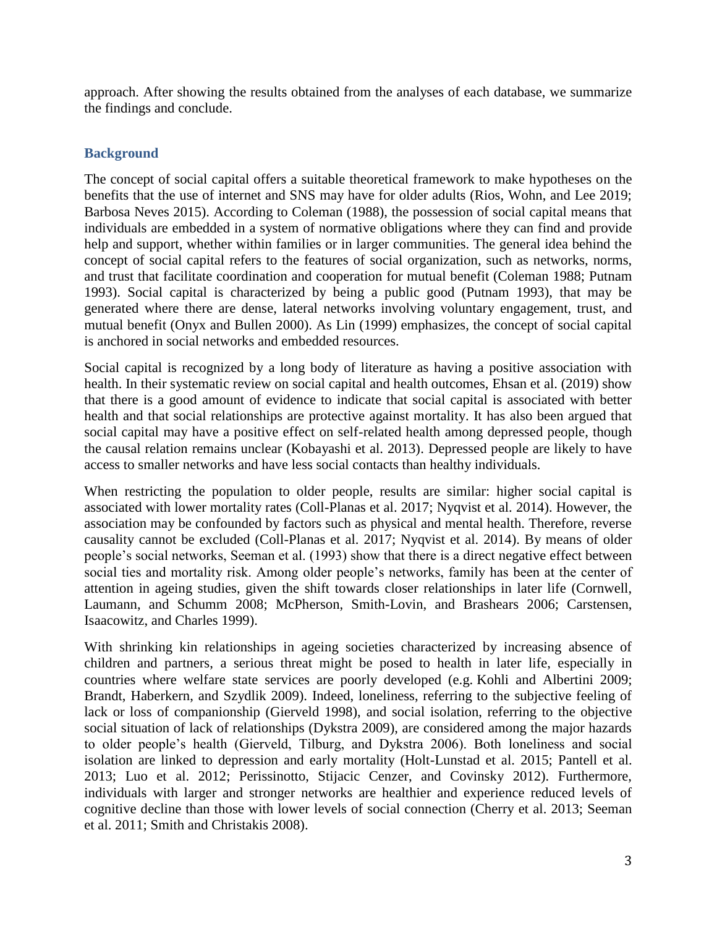approach. After showing the results obtained from the analyses of each database, we summarize the findings and conclude.

#### **Background**

The concept of social capital offers a suitable theoretical framework to make hypotheses on the benefits that the use of internet and SNS may have for older adults (Rios, Wohn, and Lee 2019; Barbosa Neves 2015). According to Coleman (1988), the possession of social capital means that individuals are embedded in a system of normative obligations where they can find and provide help and support, whether within families or in larger communities. The general idea behind the concept of social capital refers to the features of social organization, such as networks, norms, and trust that facilitate coordination and cooperation for mutual benefit (Coleman 1988; Putnam 1993). Social capital is characterized by being a public good (Putnam 1993), that may be generated where there are dense, lateral networks involving voluntary engagement, trust, and mutual benefit (Onyx and Bullen 2000). As Lin (1999) emphasizes, the concept of social capital is anchored in social networks and embedded resources.

Social capital is recognized by a long body of literature as having a positive association with health. In their systematic review on social capital and health outcomes, Ehsan et al. (2019) show that there is a good amount of evidence to indicate that social capital is associated with better health and that social relationships are protective against mortality. It has also been argued that social capital may have a positive effect on self-related health among depressed people, though the causal relation remains unclear (Kobayashi et al. 2013). Depressed people are likely to have access to smaller networks and have less social contacts than healthy individuals.

When restricting the population to older people, results are similar: higher social capital is associated with lower mortality rates (Coll-Planas et al. 2017; Nyqvist et al. 2014). However, the association may be confounded by factors such as physical and mental health. Therefore, reverse causality cannot be excluded (Coll-Planas et al. 2017; Nyqvist et al. 2014). By means of older people's social networks, Seeman et al. (1993) show that there is a direct negative effect between social ties and mortality risk. Among older people's networks, family has been at the center of attention in ageing studies, given the shift towards closer relationships in later life (Cornwell, Laumann, and Schumm 2008; McPherson, Smith-Lovin, and Brashears 2006; Carstensen, Isaacowitz, and Charles 1999).

With shrinking kin relationships in ageing societies characterized by increasing absence of children and partners, a serious threat might be posed to health in later life, especially in countries where welfare state services are poorly developed (e.g. Kohli and Albertini 2009; Brandt, Haberkern, and Szydlik 2009). Indeed, loneliness, referring to the subjective feeling of lack or loss of companionship (Gierveld 1998), and social isolation, referring to the objective social situation of lack of relationships (Dykstra 2009), are considered among the major hazards to older people's health (Gierveld, Tilburg, and Dykstra 2006). Both loneliness and social isolation are linked to depression and early mortality (Holt-Lunstad et al. 2015; Pantell et al. 2013; Luo et al. 2012; Perissinotto, Stijacic Cenzer, and Covinsky 2012). Furthermore, individuals with larger and stronger networks are healthier and experience reduced levels of cognitive decline than those with lower levels of social connection (Cherry et al. 2013; Seeman et al. 2011; Smith and Christakis 2008).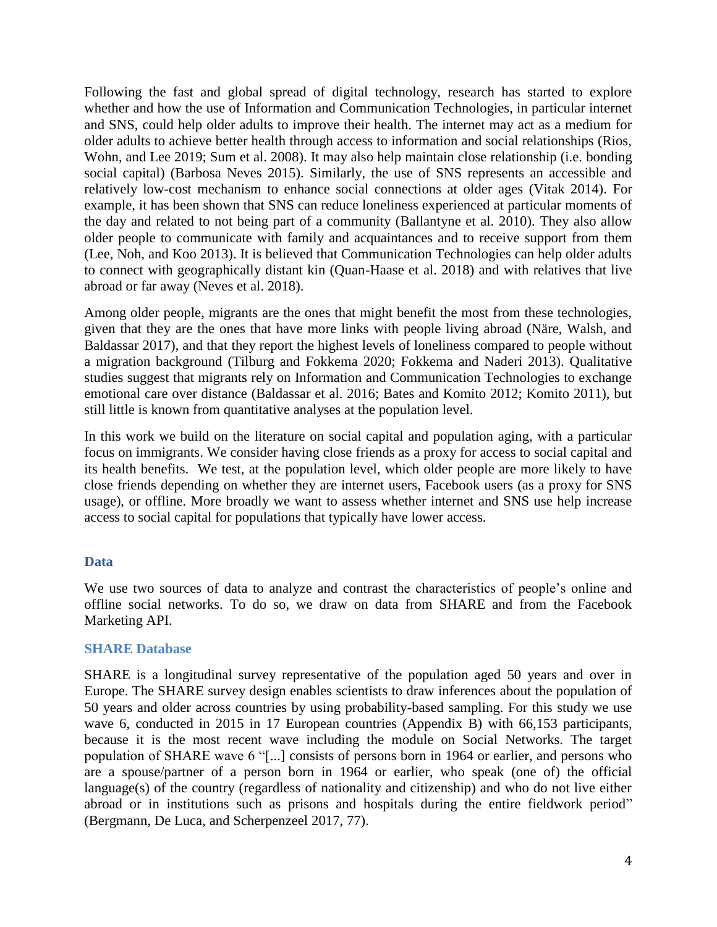Following the fast and global spread of digital technology, research has started to explore whether and how the use of Information and Communication Technologies, in particular internet and SNS, could help older adults to improve their health. The internet may act as a medium for older adults to achieve better health through access to information and social relationships (Rios, Wohn, and Lee 2019; Sum et al. 2008). It may also help maintain close relationship (i.e. bonding social capital) (Barbosa Neves 2015). Similarly, the use of SNS represents an accessible and relatively low-cost mechanism to enhance social connections at older ages (Vitak 2014). For example, it has been shown that SNS can reduce loneliness experienced at particular moments of the day and related to not being part of a community (Ballantyne et al. 2010). They also allow older people to communicate with family and acquaintances and to receive support from them (Lee, Noh, and Koo 2013). It is believed that Communication Technologies can help older adults to connect with geographically distant kin (Quan-Haase et al. 2018) and with relatives that live abroad or far away (Neves et al. 2018).

Among older people, migrants are the ones that might benefit the most from these technologies, given that they are the ones that have more links with people living abroad (Näre, Walsh, and Baldassar 2017), and that they report the highest levels of loneliness compared to people without a migration background (Tilburg and Fokkema 2020; Fokkema and Naderi 2013). Qualitative studies suggest that migrants rely on Information and Communication Technologies to exchange emotional care over distance (Baldassar et al. 2016; Bates and Komito 2012; Komito 2011), but still little is known from quantitative analyses at the population level.

In this work we build on the literature on social capital and population aging, with a particular focus on immigrants. We consider having close friends as a proxy for access to social capital and its health benefits. We test, at the population level, which older people are more likely to have close friends depending on whether they are internet users, Facebook users (as a proxy for SNS usage), or offline. More broadly we want to assess whether internet and SNS use help increase access to social capital for populations that typically have lower access.

#### **Data**

We use two sources of data to analyze and contrast the characteristics of people's online and offline social networks. To do so, we draw on data from SHARE and from the Facebook Marketing API.

#### **SHARE Database**

SHARE is a longitudinal survey representative of the population aged 50 years and over in Europe. The SHARE survey design enables scientists to draw inferences about the population of 50 years and older across countries by using probability-based sampling. For this study we use wave 6, conducted in 2015 in 17 European countries (Appendix B) with 66,153 participants, because it is the most recent wave including the module on Social Networks. The target population of SHARE wave 6 "[...] consists of persons born in 1964 or earlier, and persons who are a spouse/partner of a person born in 1964 or earlier, who speak (one of) the official language(s) of the country (regardless of nationality and citizenship) and who do not live either abroad or in institutions such as prisons and hospitals during the entire fieldwork period" (Bergmann, De Luca, and Scherpenzeel 2017, 77).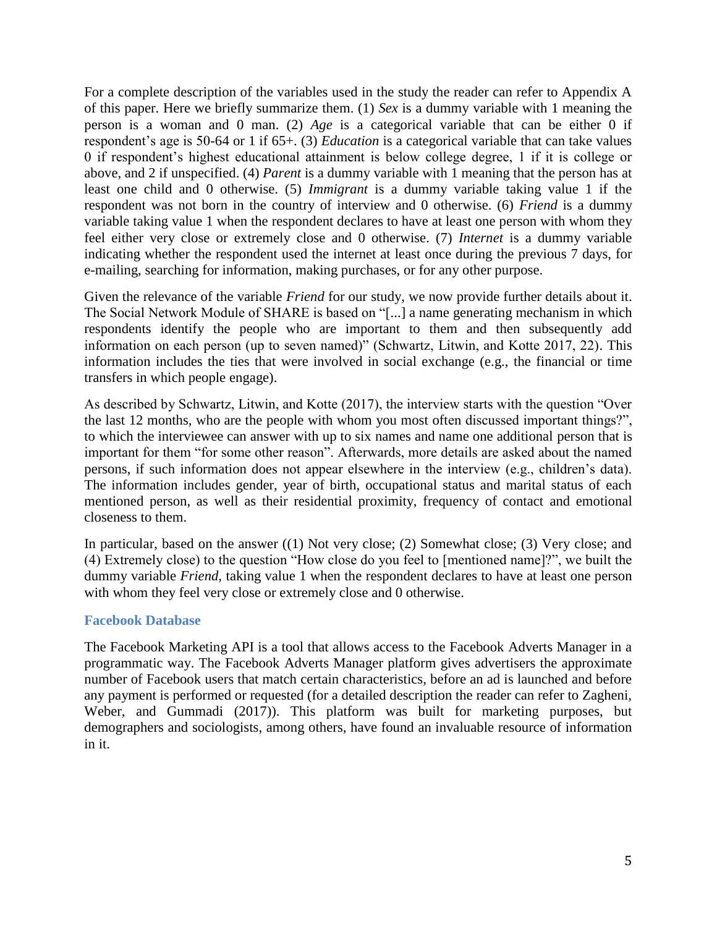For a complete description of the variables used in the study the reader can refer to Appendix A of this paper. Here we briefly summarize them. (1) *Sex* is a dummy variable with 1 meaning the person is a woman and 0 man. (2) *Age* is a categorical variable that can be either 0 if respondent's age is 50-64 or 1 if 65+. (3) *Education* is a categorical variable that can take values 0 if respondent's highest educational attainment is below college degree, 1 if it is college or above, and 2 if unspecified. (4) *Parent* is a dummy variable with 1 meaning that the person has at least one child and 0 otherwise. (5) *Immigrant* is a dummy variable taking value 1 if the respondent was not born in the country of interview and 0 otherwise. (6) *Friend* is a dummy variable taking value 1 when the respondent declares to have at least one person with whom they feel either very close or extremely close and 0 otherwise. (7) *Internet* is a dummy variable indicating whether the respondent used the internet at least once during the previous 7 days, for e-mailing, searching for information, making purchases, or for any other purpose.

Given the relevance of the variable *Friend* for our study, we now provide further details about it. The Social Network Module of SHARE is based on "[...] a name generating mechanism in which respondents identify the people who are important to them and then subsequently add information on each person (up to seven named)" (Schwartz, Litwin, and Kotte 2017, 22). This information includes the ties that were involved in social exchange (e.g., the financial or time transfers in which people engage).

As described by Schwartz, Litwin, and Kotte (2017), the interview starts with the question "Over the last 12 months, who are the people with whom you most often discussed important things?", to which the interviewee can answer with up to six names and name one additional person that is important for them "for some other reason". Afterwards, more details are asked about the named persons, if such information does not appear elsewhere in the interview (e.g., children's data). The information includes gender, year of birth, occupational status and marital status of each mentioned person, as well as their residential proximity, frequency of contact and emotional closeness to them.

In particular, based on the answer ((1) Not very close; (2) Somewhat close; (3) Very close; and (4) Extremely close) to the question "How close do you feel to [mentioned name]?", we built the dummy variable *Friend*, taking value 1 when the respondent declares to have at least one person with whom they feel very close or extremely close and 0 otherwise.

#### **Facebook Database**

The Facebook Marketing API is a tool that allows access to the Facebook Adverts Manager in a programmatic way. The Facebook Adverts Manager platform gives advertisers the approximate number of Facebook users that match certain characteristics, before an ad is launched and before any payment is performed or requested (for a detailed description the reader can refer to Zagheni, Weber, and Gummadi (2017)). This platform was built for marketing purposes, but demographers and sociologists, among others, have found an invaluable resource of information in it.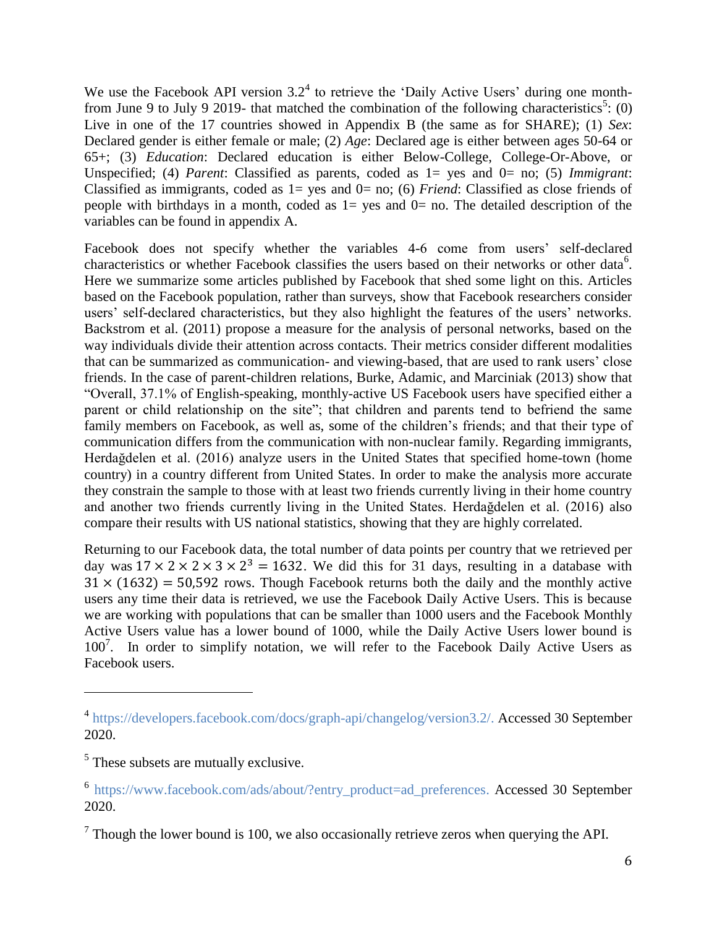We use the Facebook API version  $3.2<sup>4</sup>$  to retrieve the 'Daily Active Users' during one monthfrom June 9 to July 9 2019- that matched the combination of the following characteristics<sup>5</sup>: (0) Live in one of the 17 countries showed in Appendix B (the same as for SHARE); (1) *Sex*: Declared gender is either female or male; (2) *Age*: Declared age is either between ages 50-64 or 65+; (3) *Education*: Declared education is either Below-College, College-Or-Above, or Unspecified; (4) *Parent*: Classified as parents, coded as  $1=$  yes and  $0=$  no; (5) *Immigrant*: Classified as immigrants, coded as 1= yes and 0= no; (6) *Friend*: Classified as close friends of people with birthdays in a month, coded as  $1=$  yes and  $0=$  no. The detailed description of the variables can be found in appendix A.

Facebook does not specify whether the variables 4-6 come from users' self-declared characteristics or whether Facebook classifies the users based on their networks or other data<sup>6</sup>. Here we summarize some articles published by Facebook that shed some light on this. Articles based on the Facebook population, rather than surveys, show that Facebook researchers consider users' self-declared characteristics, but they also highlight the features of the users' networks. Backstrom et al. (2011) propose a measure for the analysis of personal networks, based on the way individuals divide their attention across contacts. Their metrics consider different modalities that can be summarized as communication- and viewing-based, that are used to rank users' close friends. In the case of parent-children relations, Burke, Adamic, and Marciniak (2013) show that "Overall, 37.1% of English-speaking, monthly-active US Facebook users have specified either a parent or child relationship on the site"; that children and parents tend to befriend the same family members on Facebook, as well as, some of the children's friends; and that their type of communication differs from the communication with non-nuclear family. Regarding immigrants, Herdağdelen et al. (2016) analyze users in the United States that specified home-town (home country) in a country different from United States. In order to make the analysis more accurate they constrain the sample to those with at least two friends currently living in their home country and another two friends currently living in the United States. Herdağdelen et al. (2016) also compare their results with US national statistics, showing that they are highly correlated.

Returning to our Facebook data, the total number of data points per country that we retrieved per day was  $17 \times 2 \times 2 \times 3 \times 2^3 = 1632$ . We did this for 31 days, resulting in a database with  $31 \times (1632) = 50,592$  rows. Though Facebook returns both the daily and the monthly active users any time their data is retrieved, we use the Facebook Daily Active Users. This is because we are working with populations that can be smaller than 1000 users and the Facebook Monthly Active Users value has a lower bound of 1000, while the Daily Active Users lower bound is  $100<sup>7</sup>$ . In order to simplify notation, we will refer to the Facebook Daily Active Users as Facebook users.

 $\overline{\phantom{a}}$ 

<sup>&</sup>lt;sup>4</sup> [https://developers.facebook.com/docs/graph-api/changelog/version3.2/.](https://developers.facebook.com/docs/graph-api/changelog/version3.2/) Accessed 30 September 2020.

<sup>&</sup>lt;sup>5</sup> These subsets are mutually exclusive.

<sup>&</sup>lt;sup>6</sup> [https://www.facebook.com/ads/about/?entry\\_product=ad\\_preferences.](https://www.facebook.com/ads/about/?entry_product=ad_preferences) Accessed 30 September 2020.

 $<sup>7</sup>$  Though the lower bound is 100, we also occasionally retrieve zeros when querying the API.</sup>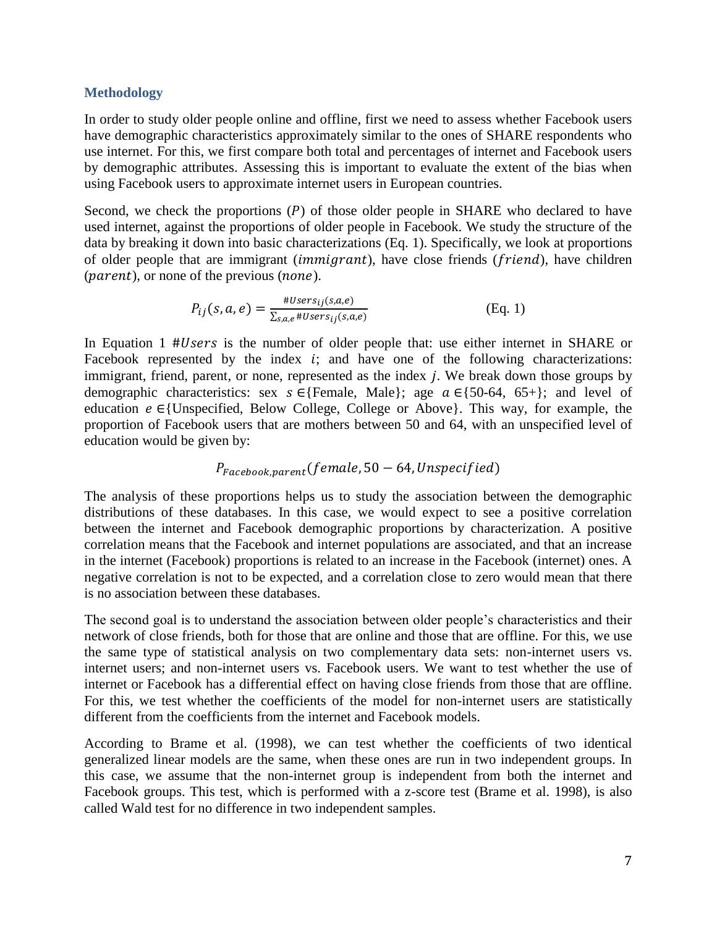#### **Methodology**

In order to study older people online and offline, first we need to assess whether Facebook users have demographic characteristics approximately similar to the ones of SHARE respondents who use internet. For this, we first compare both total and percentages of internet and Facebook users by demographic attributes. Assessing this is important to evaluate the extent of the bias when using Facebook users to approximate internet users in European countries.

Second, we check the proportions  $(P)$  of those older people in SHARE who declared to have used internet, against the proportions of older people in Facebook. We study the structure of the data by breaking it down into basic characterizations (Eq. 1). Specifically, we look at proportions of older people that are immigrant *(immigrant)*, have close friends *(friend)*, have children  $(parent)$ , or none of the previous  $(none)$ .

$$
P_{ij}(s, a, e) = \frac{\#Users_{ij}(s, a, e)}{\sum_{s, a, e} \#Users_{ij}(s, a, e)}
$$
(Eq. 1)

In Equation 1 #Users is the number of older people that: use either internet in SHARE or Facebook represented by the index  $i$ ; and have one of the following characterizations: immigrant, friend, parent, or none, represented as the index  $i$ . We break down those groups by demographic characteristics: sex  $s \in \{Female, Male\}$ ; age  $a \in \{50-64, 65+\}$ ; and level of education  $e \in$ {Unspecified, Below College, College or Above}. This way, for example, the proportion of Facebook users that are mothers between 50 and 64, with an unspecified level of education would be given by:

## $P_{Facebook.parent}(female, 50 - 64, Unspecified)$

The analysis of these proportions helps us to study the association between the demographic distributions of these databases. In this case, we would expect to see a positive correlation between the internet and Facebook demographic proportions by characterization. A positive correlation means that the Facebook and internet populations are associated, and that an increase in the internet (Facebook) proportions is related to an increase in the Facebook (internet) ones. A negative correlation is not to be expected, and a correlation close to zero would mean that there is no association between these databases.

The second goal is to understand the association between older people's characteristics and their network of close friends, both for those that are online and those that are offline. For this, we use the same type of statistical analysis on two complementary data sets: non-internet users vs. internet users; and non-internet users vs. Facebook users. We want to test whether the use of internet or Facebook has a differential effect on having close friends from those that are offline. For this, we test whether the coefficients of the model for non-internet users are statistically different from the coefficients from the internet and Facebook models.

According to Brame et al. (1998), we can test whether the coefficients of two identical generalized linear models are the same, when these ones are run in two independent groups. In this case, we assume that the non-internet group is independent from both the internet and Facebook groups. This test, which is performed with a z-score test (Brame et al. 1998), is also called Wald test for no difference in two independent samples.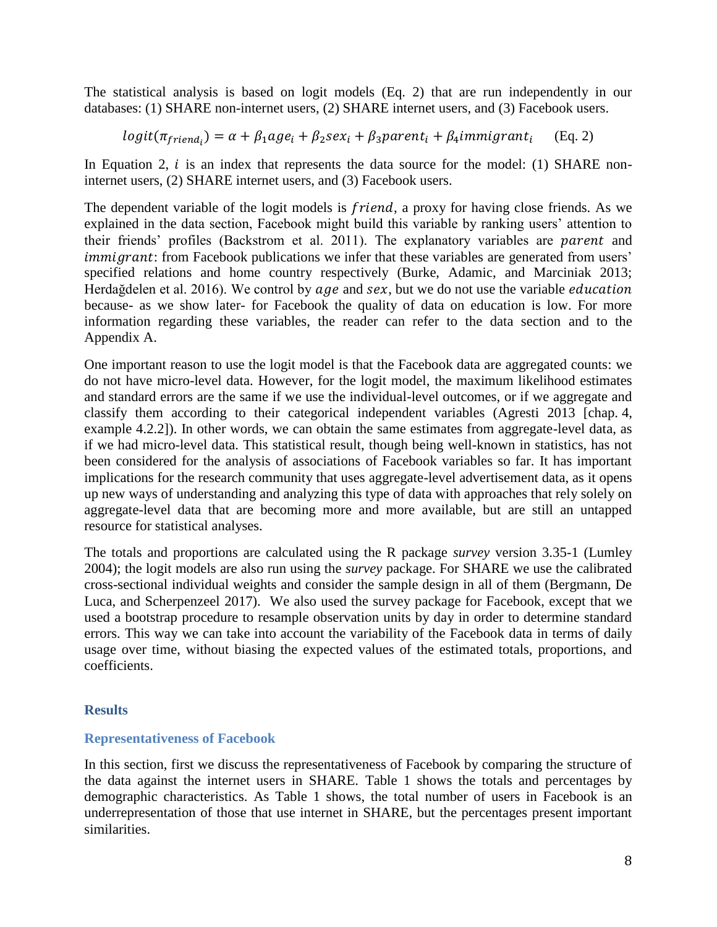The statistical analysis is based on logit models (Eq. 2) that are run independently in our databases: (1) SHARE non-internet users, (2) SHARE internet users, and (3) Facebook users.

$$
logit(\pi_{friend_i}) = \alpha + \beta_1 age_i + \beta_2 sex_i + \beta_3 parent_i + \beta_4 immigrant_i
$$
 (Eq. 2)

In Equation 2,  $i$  is an index that represents the data source for the model: (1) SHARE noninternet users, (2) SHARE internet users, and (3) Facebook users.

The dependent variable of the logit models is *friend*, a proxy for having close friends. As we explained in the data section, Facebook might build this variable by ranking users' attention to their friends' profiles (Backstrom et al. 2011). The explanatory variables are *parent* and immigrant: from Facebook publications we infer that these variables are generated from users' specified relations and home country respectively (Burke, Adamic, and Marciniak 2013; Herdağdelen et al. 2016). We control by  $age$  and  $sex$ , but we do not use the variable *education* because- as we show later- for Facebook the quality of data on education is low. For more information regarding these variables, the reader can refer to the data section and to the Appendix A.

One important reason to use the logit model is that the Facebook data are aggregated counts: we do not have micro-level data. However, for the logit model, the maximum likelihood estimates and standard errors are the same if we use the individual-level outcomes, or if we aggregate and classify them according to their categorical independent variables (Agresti 2013 [chap. 4, example 4.2.2]). In other words, we can obtain the same estimates from aggregate-level data, as if we had micro-level data. This statistical result, though being well-known in statistics, has not been considered for the analysis of associations of Facebook variables so far. It has important implications for the research community that uses aggregate-level advertisement data, as it opens up new ways of understanding and analyzing this type of data with approaches that rely solely on aggregate-level data that are becoming more and more available, but are still an untapped resource for statistical analyses.

The totals and proportions are calculated using the R package *survey* version 3.35-1 (Lumley 2004); the logit models are also run using the *survey* package. For SHARE we use the calibrated cross-sectional individual weights and consider the sample design in all of them (Bergmann, De Luca, and Scherpenzeel 2017). We also used the survey package for Facebook, except that we used a bootstrap procedure to resample observation units by day in order to determine standard errors. This way we can take into account the variability of the Facebook data in terms of daily usage over time, without biasing the expected values of the estimated totals, proportions, and coefficients.

#### **Results**

#### **Representativeness of Facebook**

In this section, first we discuss the representativeness of Facebook by comparing the structure of the data against the internet users in SHARE. Table 1 shows the totals and percentages by demographic characteristics. As Table 1 shows, the total number of users in Facebook is an underrepresentation of those that use internet in SHARE, but the percentages present important similarities.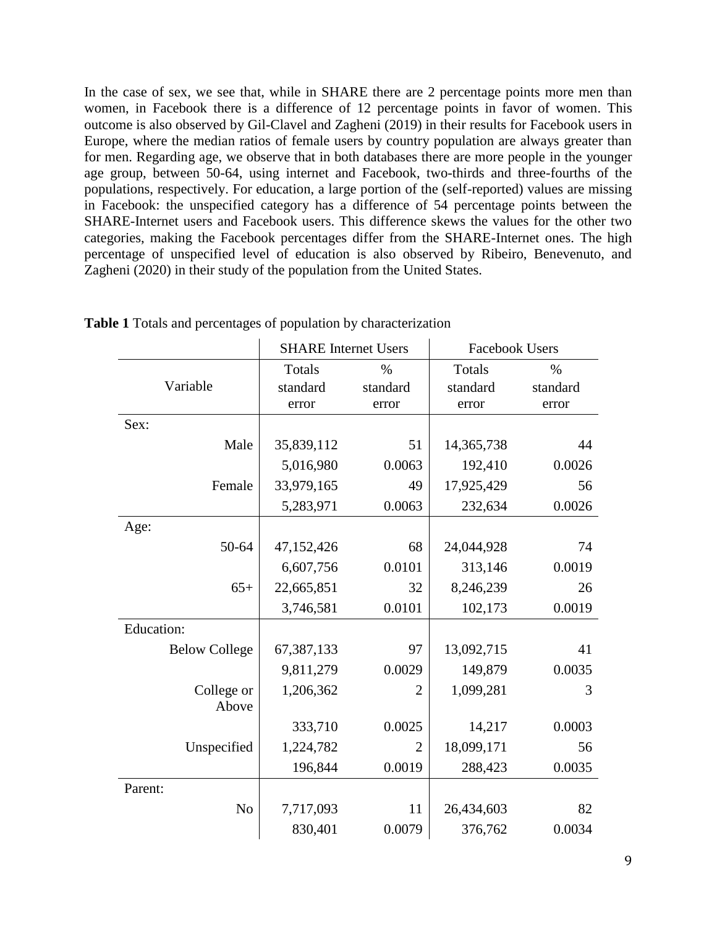In the case of sex, we see that, while in SHARE there are 2 percentage points more men than women, in Facebook there is a difference of 12 percentage points in favor of women. This outcome is also observed by Gil-Clavel and Zagheni (2019) in their results for Facebook users in Europe, where the median ratios of female users by country population are always greater than for men. Regarding age, we observe that in both databases there are more people in the younger age group, between 50-64, using internet and Facebook, two-thirds and three-fourths of the populations, respectively. For education, a large portion of the (self-reported) values are missing in Facebook: the unspecified category has a difference of 54 percentage points between the SHARE-Internet users and Facebook users. This difference skews the values for the other two categories, making the Facebook percentages differ from the SHARE-Internet ones. The high percentage of unspecified level of education is also observed by Ribeiro, Benevenuto, and Zagheni (2020) in their study of the population from the United States.

|                      | <b>SHARE</b> Internet Users |                | <b>Facebook Users</b> |          |
|----------------------|-----------------------------|----------------|-----------------------|----------|
|                      | Totals                      | $\%$           | Totals                | $\%$     |
| Variable             | standard                    | standard       | standard              | standard |
|                      | error                       | error          | error                 | error    |
| Sex:                 |                             |                |                       |          |
| Male                 | 35,839,112                  | 51             | 14,365,738            | 44       |
|                      | 5,016,980                   | 0.0063         | 192,410               | 0.0026   |
| Female               | 33,979,165                  | 49             | 17,925,429            | 56       |
|                      | 5,283,971                   | 0.0063         | 232,634               | 0.0026   |
| Age:                 |                             |                |                       |          |
| 50-64                | 47,152,426                  | 68             | 24,044,928            | 74       |
|                      | 6,607,756                   | 0.0101         | 313,146               | 0.0019   |
| $65+$                | 22,665,851                  | 32             | 8,246,239             | 26       |
|                      | 3,746,581                   | 0.0101         | 102,173               | 0.0019   |
| <b>Education:</b>    |                             |                |                       |          |
| <b>Below College</b> | 67,387,133                  | 97             | 13,092,715            | 41       |
|                      | 9,811,279                   | 0.0029         | 149,879               | 0.0035   |
| College or           | 1,206,362                   | $\overline{2}$ | 1,099,281             | 3        |
| Above                |                             |                |                       |          |
|                      | 333,710                     | 0.0025         | 14,217                | 0.0003   |
| Unspecified          | 1,224,782                   | $\overline{2}$ | 18,099,171            | 56       |
|                      | 196,844                     | 0.0019         | 288,423               | 0.0035   |
| Parent:              |                             |                |                       |          |
| N <sub>o</sub>       | 7,717,093                   | 11             | 26,434,603            | 82       |
|                      | 830,401                     | 0.0079         | 376,762               | 0.0034   |

**Table 1** Totals and percentages of population by characterization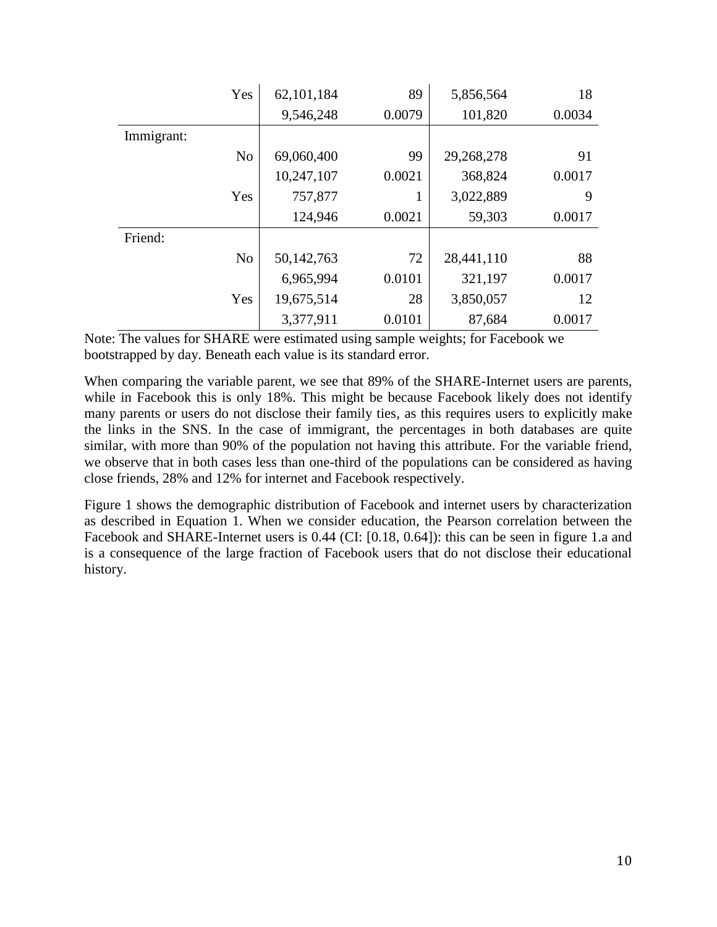|            | Yes            | 62,101,184 | 89     | 5,856,564  | 18     |
|------------|----------------|------------|--------|------------|--------|
|            |                | 9,546,248  | 0.0079 | 101,820    | 0.0034 |
| Immigrant: |                |            |        |            |        |
|            | N <sub>o</sub> | 69,060,400 | 99     | 29,268,278 | 91     |
|            |                | 10,247,107 | 0.0021 | 368,824    | 0.0017 |
|            | Yes            | 757,877    |        | 3,022,889  | 9      |
|            |                | 124,946    | 0.0021 | 59,303     | 0.0017 |
| Friend:    |                |            |        |            |        |
|            | N <sub>o</sub> | 50,142,763 | 72     | 28,441,110 | 88     |
|            |                | 6,965,994  | 0.0101 | 321,197    | 0.0017 |
|            | Yes            | 19,675,514 | 28     | 3,850,057  | 12     |
|            |                | 3,377,911  | 0.0101 | 87,684     | 0.0017 |

Note: The values for SHARE were estimated using sample weights; for Facebook we bootstrapped by day. Beneath each value is its standard error.

When comparing the variable parent, we see that 89% of the SHARE-Internet users are parents, while in Facebook this is only 18%. This might be because Facebook likely does not identify many parents or users do not disclose their family ties, as this requires users to explicitly make the links in the SNS. In the case of immigrant, the percentages in both databases are quite similar, with more than 90% of the population not having this attribute. For the variable friend, we observe that in both cases less than one-third of the populations can be considered as having close friends, 28% and 12% for internet and Facebook respectively.

Figure 1 shows the demographic distribution of Facebook and internet users by characterization as described in Equation 1. When we consider education, the Pearson correlation between the Facebook and SHARE-Internet users is 0.44 (CI: [0.18, 0.64]): this can be seen in figure 1.a and is a consequence of the large fraction of Facebook users that do not disclose their educational history.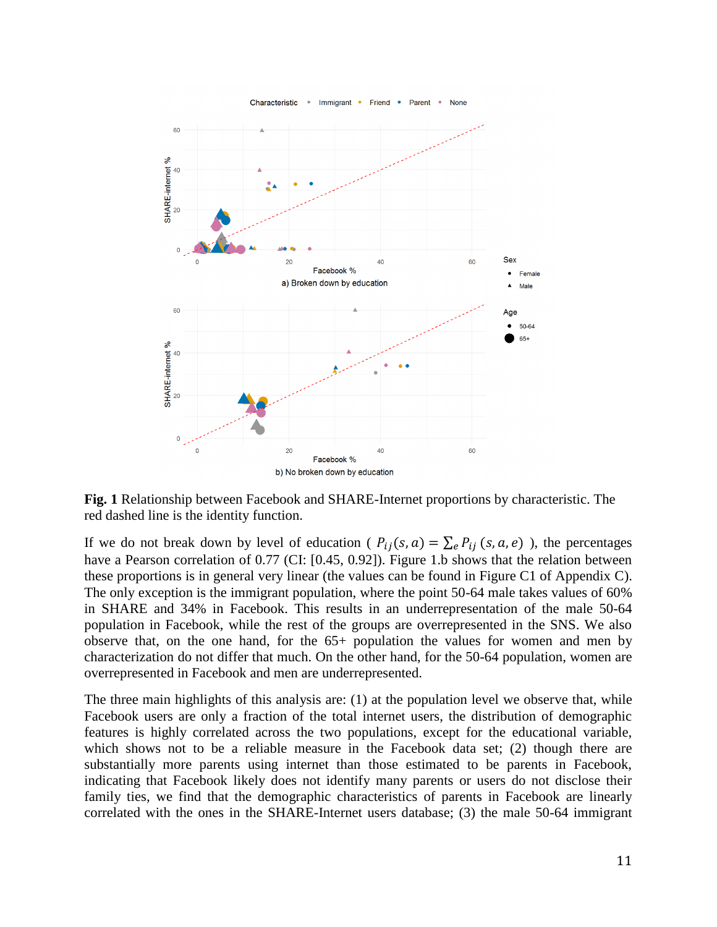

**Fig. 1** Relationship between Facebook and SHARE-Internet proportions by characteristic. The red dashed line is the identity function.

If we do not break down by level of education ( $P_{ij}(s, a) = \sum_e P_{ij}(s, a, e)$ ), the percentages have a Pearson correlation of 0.77 (CI: [0.45, 0.92]). Figure 1.b shows that the relation between these proportions is in general very linear (the values can be found in Figure C1 of Appendix C). The only exception is the immigrant population, where the point 50-64 male takes values of 60% in SHARE and 34% in Facebook. This results in an underrepresentation of the male 50-64 population in Facebook, while the rest of the groups are overrepresented in the SNS. We also observe that, on the one hand, for the 65+ population the values for women and men by characterization do not differ that much. On the other hand, for the 50-64 population, women are overrepresented in Facebook and men are underrepresented.

The three main highlights of this analysis are: (1) at the population level we observe that, while Facebook users are only a fraction of the total internet users, the distribution of demographic features is highly correlated across the two populations, except for the educational variable, which shows not to be a reliable measure in the Facebook data set; (2) though there are substantially more parents using internet than those estimated to be parents in Facebook, indicating that Facebook likely does not identify many parents or users do not disclose their family ties, we find that the demographic characteristics of parents in Facebook are linearly correlated with the ones in the SHARE-Internet users database; (3) the male 50-64 immigrant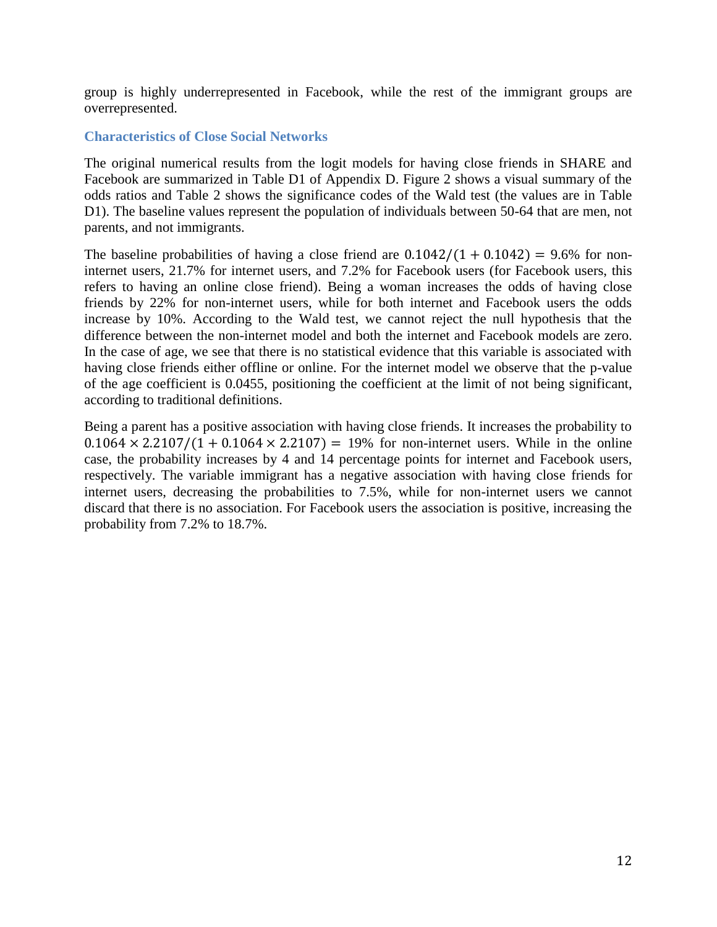group is highly underrepresented in Facebook, while the rest of the immigrant groups are overrepresented.

#### **Characteristics of Close Social Networks**

The original numerical results from the logit models for having close friends in SHARE and Facebook are summarized in Table D1 of Appendix D. Figure 2 shows a visual summary of the odds ratios and Table 2 shows the significance codes of the Wald test (the values are in Table D1). The baseline values represent the population of individuals between 50-64 that are men, not parents, and not immigrants.

The baseline probabilities of having a close friend are  $0.1042/(1 + 0.1042) = 9.6\%$  for noninternet users, 21.7% for internet users, and 7.2% for Facebook users (for Facebook users, this refers to having an online close friend). Being a woman increases the odds of having close friends by 22% for non-internet users, while for both internet and Facebook users the odds increase by 10%. According to the Wald test, we cannot reject the null hypothesis that the difference between the non-internet model and both the internet and Facebook models are zero. In the case of age, we see that there is no statistical evidence that this variable is associated with having close friends either offline or online. For the internet model we observe that the p-value of the age coefficient is 0.0455, positioning the coefficient at the limit of not being significant, according to traditional definitions.

Being a parent has a positive association with having close friends. It increases the probability to  $0.1064 \times 2.2107/(1 + 0.1064 \times 2.2107) = 19%$  for non-internet users. While in the online case, the probability increases by 4 and 14 percentage points for internet and Facebook users, respectively. The variable immigrant has a negative association with having close friends for internet users, decreasing the probabilities to 7.5%, while for non-internet users we cannot discard that there is no association. For Facebook users the association is positive, increasing the probability from 7.2% to 18.7%.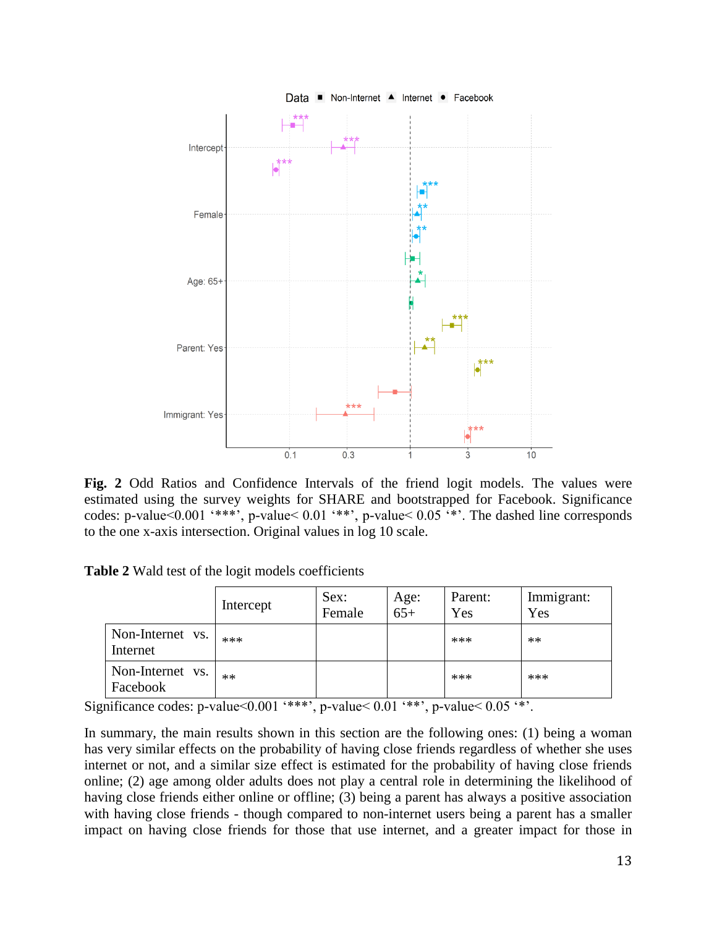

**Fig. 2** Odd Ratios and Confidence Intervals of the friend logit models. The values were estimated using the survey weights for SHARE and bootstrapped for Facebook. Significance codes: p-value<0.001 '\*\*\*', p-value< 0.01 '\*\*', p-value< 0.05 '\*'. The dashed line corresponds to the one x-axis intersection. Original values in log 10 scale.

**Table 2** Wald test of the logit models coefficients

|                              | Intercept | Sex:<br>Female | Age:<br>$65+$ | Parent:<br>Yes | Immigrant:<br>Yes |
|------------------------------|-----------|----------------|---------------|----------------|-------------------|
| Non-Internet vs.<br>Internet | $***$     |                |               | ***            | $**$              |
| Non-Internet vs.<br>Facebook | $**$      |                |               | ***            | $***$             |

Significance codes: p-value< $0.001$  '\*\*\*', p-value< $0.01$  '\*\*', p-value< $0.05$  '\*'.

In summary, the main results shown in this section are the following ones: (1) being a woman has very similar effects on the probability of having close friends regardless of whether she uses internet or not, and a similar size effect is estimated for the probability of having close friends online; (2) age among older adults does not play a central role in determining the likelihood of having close friends either online or offline; (3) being a parent has always a positive association with having close friends - though compared to non-internet users being a parent has a smaller impact on having close friends for those that use internet, and a greater impact for those in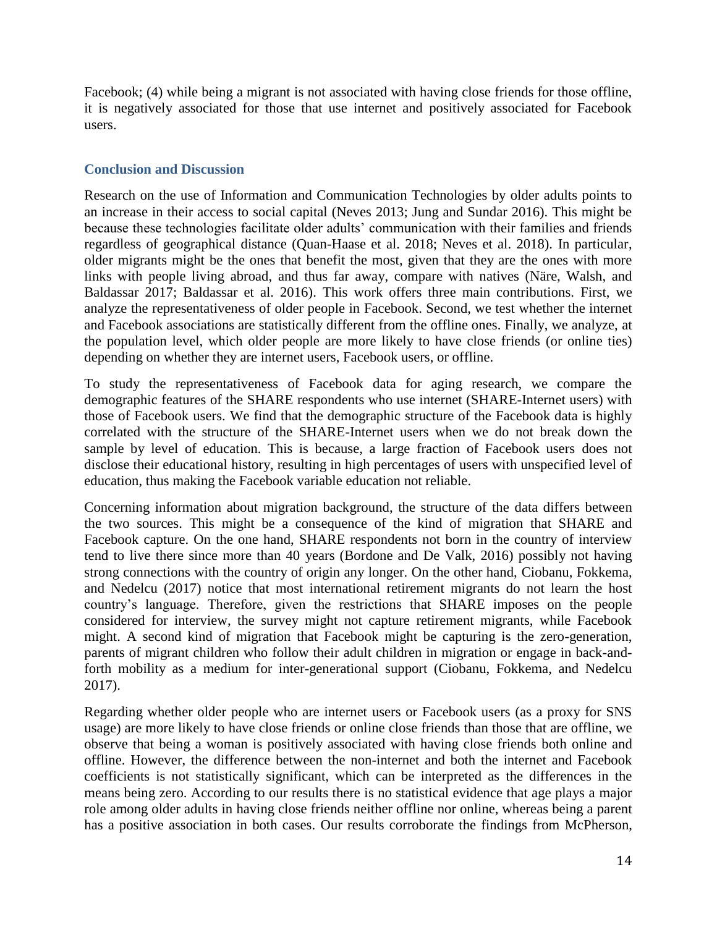Facebook; (4) while being a migrant is not associated with having close friends for those offline, it is negatively associated for those that use internet and positively associated for Facebook users.

#### **Conclusion and Discussion**

Research on the use of Information and Communication Technologies by older adults points to an increase in their access to social capital (Neves 2013; Jung and Sundar 2016). This might be because these technologies facilitate older adults' communication with their families and friends regardless of geographical distance (Quan-Haase et al. 2018; Neves et al. 2018). In particular, older migrants might be the ones that benefit the most, given that they are the ones with more links with people living abroad, and thus far away, compare with natives (Näre, Walsh, and Baldassar 2017; Baldassar et al. 2016). This work offers three main contributions. First, we analyze the representativeness of older people in Facebook. Second, we test whether the internet and Facebook associations are statistically different from the offline ones. Finally, we analyze, at the population level, which older people are more likely to have close friends (or online ties) depending on whether they are internet users, Facebook users, or offline.

To study the representativeness of Facebook data for aging research, we compare the demographic features of the SHARE respondents who use internet (SHARE-Internet users) with those of Facebook users. We find that the demographic structure of the Facebook data is highly correlated with the structure of the SHARE-Internet users when we do not break down the sample by level of education. This is because, a large fraction of Facebook users does not disclose their educational history, resulting in high percentages of users with unspecified level of education, thus making the Facebook variable education not reliable.

Concerning information about migration background, the structure of the data differs between the two sources. This might be a consequence of the kind of migration that SHARE and Facebook capture. On the one hand, SHARE respondents not born in the country of interview tend to live there since more than 40 years (Bordone and De Valk, 2016) possibly not having strong connections with the country of origin any longer. On the other hand, Ciobanu, Fokkema, and Nedelcu (2017) notice that most international retirement migrants do not learn the host country's language. Therefore, given the restrictions that SHARE imposes on the people considered for interview, the survey might not capture retirement migrants, while Facebook might. A second kind of migration that Facebook might be capturing is the zero-generation, parents of migrant children who follow their adult children in migration or engage in back-andforth mobility as a medium for inter-generational support (Ciobanu, Fokkema, and Nedelcu 2017).

Regarding whether older people who are internet users or Facebook users (as a proxy for SNS usage) are more likely to have close friends or online close friends than those that are offline, we observe that being a woman is positively associated with having close friends both online and offline. However, the difference between the non-internet and both the internet and Facebook coefficients is not statistically significant, which can be interpreted as the differences in the means being zero. According to our results there is no statistical evidence that age plays a major role among older adults in having close friends neither offline nor online, whereas being a parent has a positive association in both cases. Our results corroborate the findings from McPherson,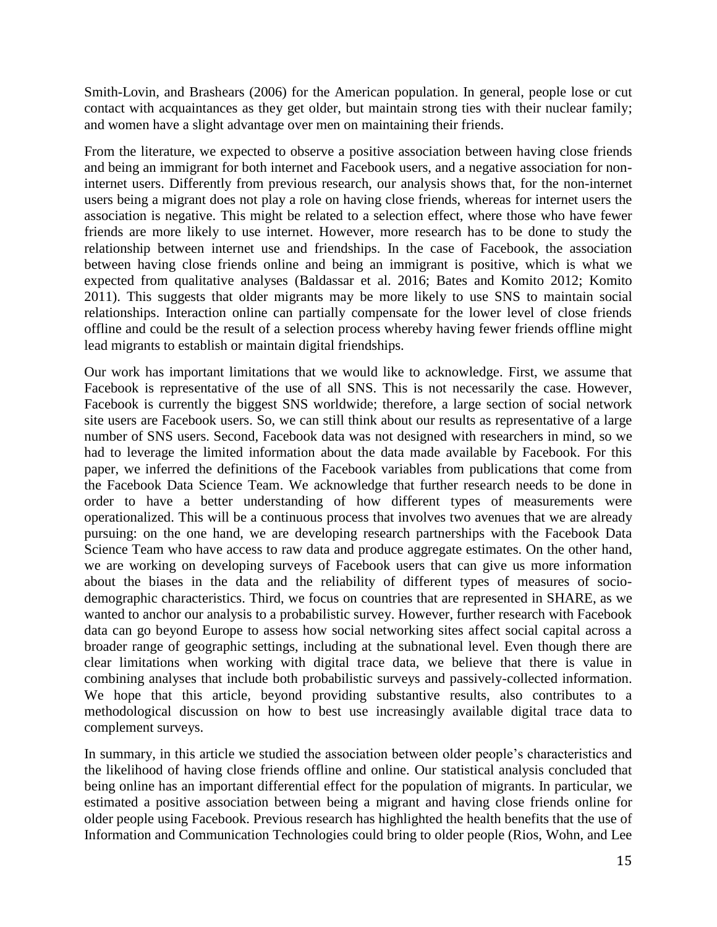Smith-Lovin, and Brashears (2006) for the American population. In general, people lose or cut contact with acquaintances as they get older, but maintain strong ties with their nuclear family; and women have a slight advantage over men on maintaining their friends.

From the literature, we expected to observe a positive association between having close friends and being an immigrant for both internet and Facebook users, and a negative association for noninternet users. Differently from previous research, our analysis shows that, for the non-internet users being a migrant does not play a role on having close friends, whereas for internet users the association is negative. This might be related to a selection effect, where those who have fewer friends are more likely to use internet. However, more research has to be done to study the relationship between internet use and friendships. In the case of Facebook, the association between having close friends online and being an immigrant is positive, which is what we expected from qualitative analyses (Baldassar et al. 2016; Bates and Komito 2012; Komito 2011). This suggests that older migrants may be more likely to use SNS to maintain social relationships. Interaction online can partially compensate for the lower level of close friends offline and could be the result of a selection process whereby having fewer friends offline might lead migrants to establish or maintain digital friendships.

Our work has important limitations that we would like to acknowledge. First, we assume that Facebook is representative of the use of all SNS. This is not necessarily the case. However, Facebook is currently the biggest SNS worldwide; therefore, a large section of social network site users are Facebook users. So, we can still think about our results as representative of a large number of SNS users. Second, Facebook data was not designed with researchers in mind, so we had to leverage the limited information about the data made available by Facebook. For this paper, we inferred the definitions of the Facebook variables from publications that come from the Facebook Data Science Team. We acknowledge that further research needs to be done in order to have a better understanding of how different types of measurements were operationalized. This will be a continuous process that involves two avenues that we are already pursuing: on the one hand, we are developing research partnerships with the Facebook Data Science Team who have access to raw data and produce aggregate estimates. On the other hand, we are working on developing surveys of Facebook users that can give us more information about the biases in the data and the reliability of different types of measures of sociodemographic characteristics. Third, we focus on countries that are represented in SHARE, as we wanted to anchor our analysis to a probabilistic survey. However, further research with Facebook data can go beyond Europe to assess how social networking sites affect social capital across a broader range of geographic settings, including at the subnational level. Even though there are clear limitations when working with digital trace data, we believe that there is value in combining analyses that include both probabilistic surveys and passively-collected information. We hope that this article, beyond providing substantive results, also contributes to a methodological discussion on how to best use increasingly available digital trace data to complement surveys.

In summary, in this article we studied the association between older people's characteristics and the likelihood of having close friends offline and online. Our statistical analysis concluded that being online has an important differential effect for the population of migrants. In particular, we estimated a positive association between being a migrant and having close friends online for older people using Facebook. Previous research has highlighted the health benefits that the use of Information and Communication Technologies could bring to older people (Rios, Wohn, and Lee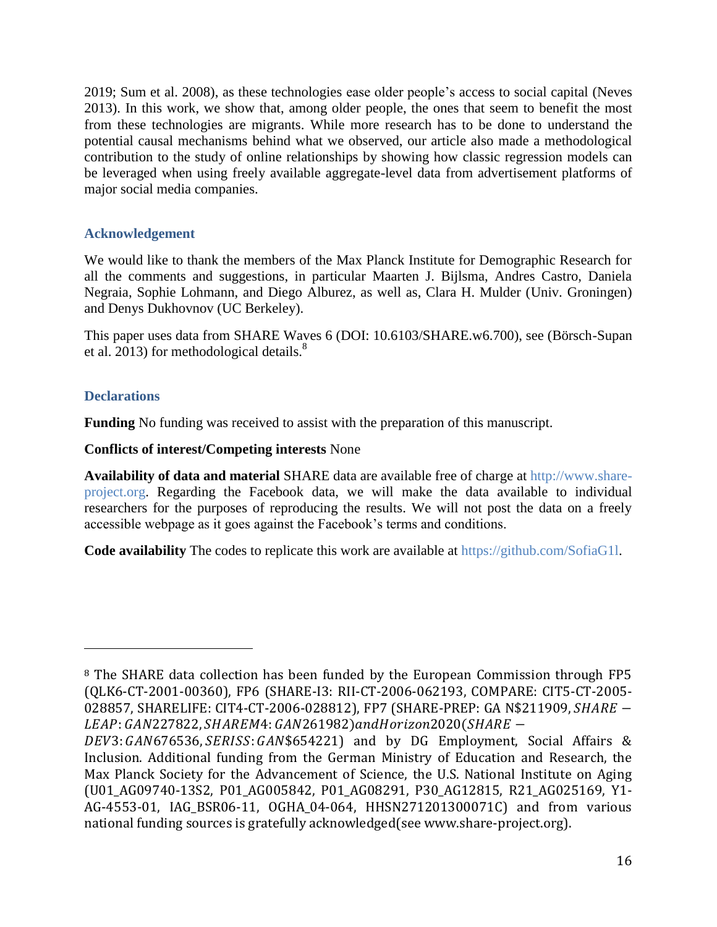2019; Sum et al. 2008), as these technologies ease older people's access to social capital (Neves 2013). In this work, we show that, among older people, the ones that seem to benefit the most from these technologies are migrants. While more research has to be done to understand the potential causal mechanisms behind what we observed, our article also made a methodological contribution to the study of online relationships by showing how classic regression models can be leveraged when using freely available aggregate-level data from advertisement platforms of major social media companies.

## **Acknowledgement**

We would like to thank the members of the Max Planck Institute for Demographic Research for all the comments and suggestions, in particular Maarten J. Bijlsma, Andres Castro, Daniela Negraia, Sophie Lohmann, and Diego Alburez, as well as, Clara H. Mulder (Univ. Groningen) and Denys Dukhovnov (UC Berkeley).

This paper uses data from SHARE Waves 6 (DOI: 10.6103/SHARE.w6.700), see (Börsch-Supan et al. 2013) for methodological details.<sup>8</sup>

## **Declarations**

l

**Funding** No funding was received to assist with the preparation of this manuscript.

**Conflicts of interest/Competing interests** None

**Availability of data and material** SHARE data are available free of charge at [http://www.share](http://www.share-project.org/)[project.org.](http://www.share-project.org/) Regarding the Facebook data, we will make the data available to individual researchers for the purposes of reproducing the results. We will not post the data on a freely accessible webpage as it goes against the Facebook's terms and conditions.

**Code availability** The codes to replicate this work are available at [https://github.com/SofiaG1l.](https://github.com/SofiaG1l)

<sup>8</sup> The SHARE data collection has been funded by the European Commission through FP5 (QLK6-CT-2001-00360), FP6 (SHARE-I3: RII-CT-2006-062193, COMPARE: CIT5-CT-2005- 028857, SHARELIFE: CIT4-CT-2006-028812), FP7 (SHARE-PREP: GA N\$211909, SHARE -LEAP: GAN227822, SHAREM4: GAN261982) and Horizon 2020 (SHARE -

 $DEV3: GANG 76536, *SERISS: GAN*$654221)$  and by DG Employment, Social Affairs & Inclusion. Additional funding from the German Ministry of Education and Research, the Max Planck Society for the Advancement of Science, the U.S. National Institute on Aging (U01\_AG09740-13S2, P01\_AG005842, P01\_AG08291, P30\_AG12815, R21\_AG025169, Y1- AG-4553-01, IAG\_BSR06-11, OGHA\_04-064, HHSN271201300071C) and from various national funding sources is gratefully acknowledged(see www.share-project.org).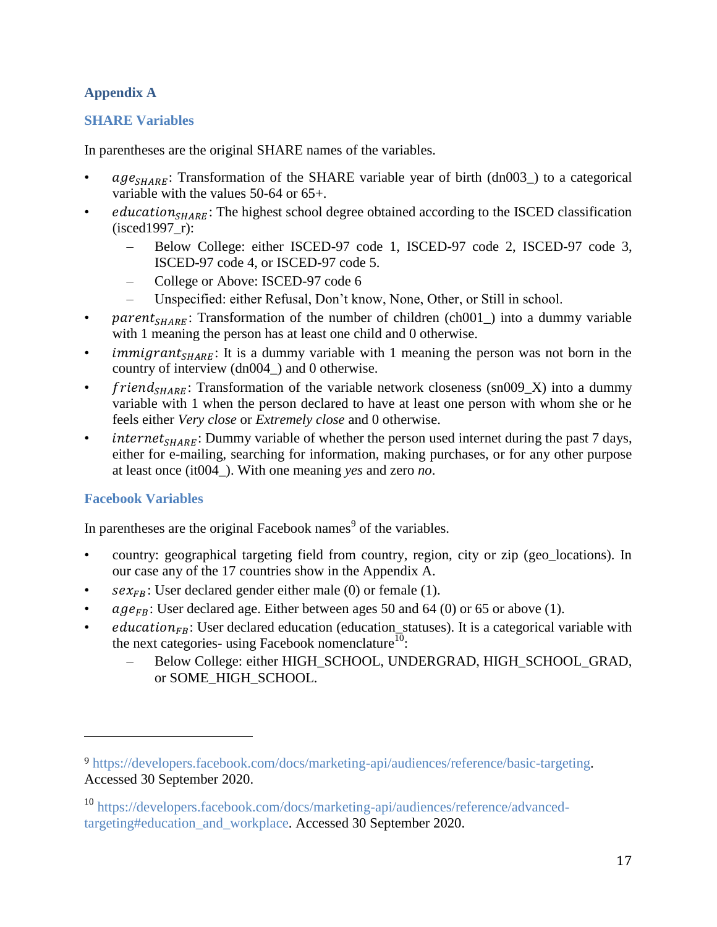## **Appendix A**

## **SHARE Variables**

In parentheses are the original SHARE names of the variables.

- $age_{SHARE}$ : Transformation of the SHARE variable year of birth (dn003\_) to a categorical variable with the values 50-64 or 65+.
- *education*<sub>SHARE</sub>: The highest school degree obtained according to the ISCED classification (isced1997\_r):
	- Below College: either ISCED-97 code 1, ISCED-97 code 2, ISCED-97 code 3, ISCED-97 code 4, or ISCED-97 code 5.
	- College or Above: ISCED-97 code 6
	- Unspecified: either Refusal, Don't know, None, Other, or Still in school.
- *parent<sub>SHARE</sub>*: Transformation of the number of children (ch001) into a dummy variable with 1 meaning the person has at least one child and 0 otherwise.
- *immigrant*<sub>SHARE</sub>: It is a dummy variable with 1 meaning the person was not born in the country of interview (dn004\_) and 0 otherwise.
- *friend<sub>SHARE</sub>*: Transformation of the variable network closeness (sn009\_X) into a dummy variable with 1 when the person declared to have at least one person with whom she or he feels either *Very close* or *Extremely close* and 0 otherwise.
- *internet<sub>SHARE</sub>*: Dummy variable of whether the person used internet during the past 7 days, either for e-mailing, searching for information, making purchases, or for any other purpose at least once (it004\_). With one meaning *yes* and zero *no*.

## **Facebook Variables**

 $\overline{\phantom{a}}$ 

In parentheses are the original Facebook names $<sup>9</sup>$  of the variables.</sup>

- country: geographical targeting field from country, region, city or zip (geo\_locations). In our case any of the 17 countries show in the Appendix A.
- $sex_{FB}$ : User declared gender either male (0) or female (1).
- $age_{FB}$ : User declared age. Either between ages 50 and 64 (0) or 65 or above (1).
- $eduction_{FB}$ : User declared education (education\_statuses). It is a categorical variable with the next categories- using Facebook nomenclature<sup>10</sup>:
	- Below College: either HIGH\_SCHOOL, UNDERGRAD, HIGH\_SCHOOL\_GRAD, or SOME\_HIGH\_SCHOOL.

<sup>9</sup> [https://developers.facebook.com/docs/marketing-api/audiences/reference/basic-targeting.](https://developers.facebook.com/docs/marketing-api/audiences/reference/basic-targeting) Accessed 30 September 2020.

<sup>10</sup> [https://developers.facebook.com/docs/marketing-api/audiences/reference/advanced](https://developers.facebook.com/docs/marketing-api/audiences/reference/advanced-targeting#education_and_workplace)[targeting#education\\_and\\_workplace.](https://developers.facebook.com/docs/marketing-api/audiences/reference/advanced-targeting#education_and_workplace) Accessed 30 September 2020.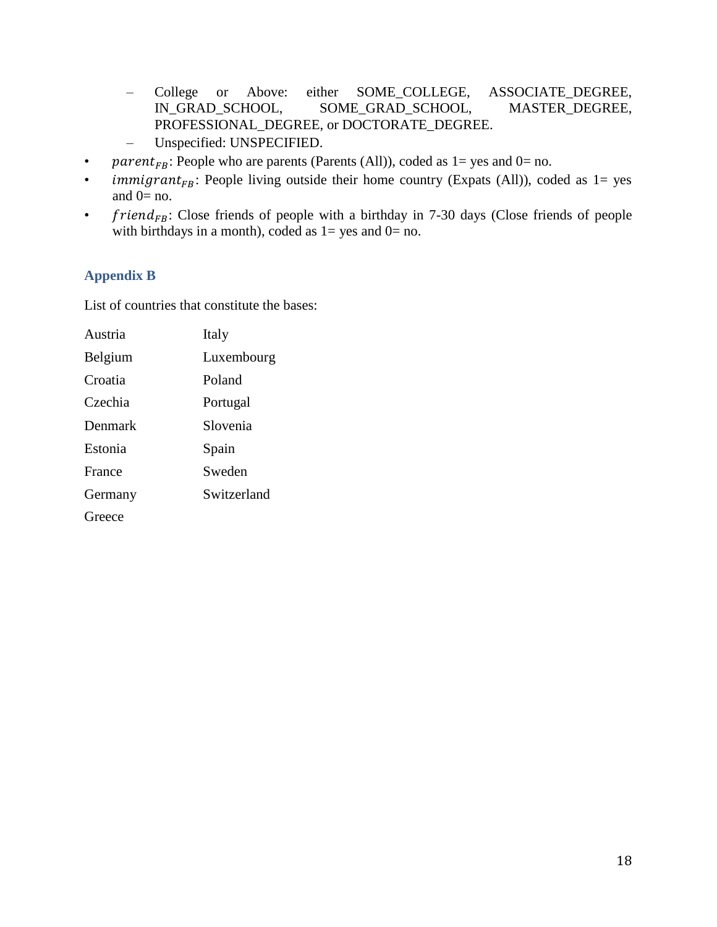- College or Above: either SOME\_COLLEGE, ASSOCIATE\_DEGREE, IN\_GRAD\_SCHOOL, SOME\_GRAD\_SCHOOL, MASTER\_DEGREE, PROFESSIONAL\_DEGREE, or DOCTORATE\_DEGREE.
- Unspecified: UNSPECIFIED.
- *parent<sub>FB</sub>*: People who are parents (Parents (All)), coded as  $1 = yes$  and  $0 = no$ .
- *immigrant<sub>FB</sub>*: People living outside their home country (Expats (All)), coded as  $1 = yes$ and  $0=$  no.
- $friend_{FB}$ : Close friends of people with a birthday in 7-30 days (Close friends of people with birthdays in a month), coded as  $1 = yes$  and  $0 = no$ .

## **Appendix B**

List of countries that constitute the bases:

| Austria | Italy       |
|---------|-------------|
| Belgium | Luxembourg  |
| Croatia | Poland      |
| Czechia | Portugal    |
| Denmark | Slovenia    |
| Estonia | Spain       |
| France  | Sweden      |
| Germany | Switzerland |
| Greece  |             |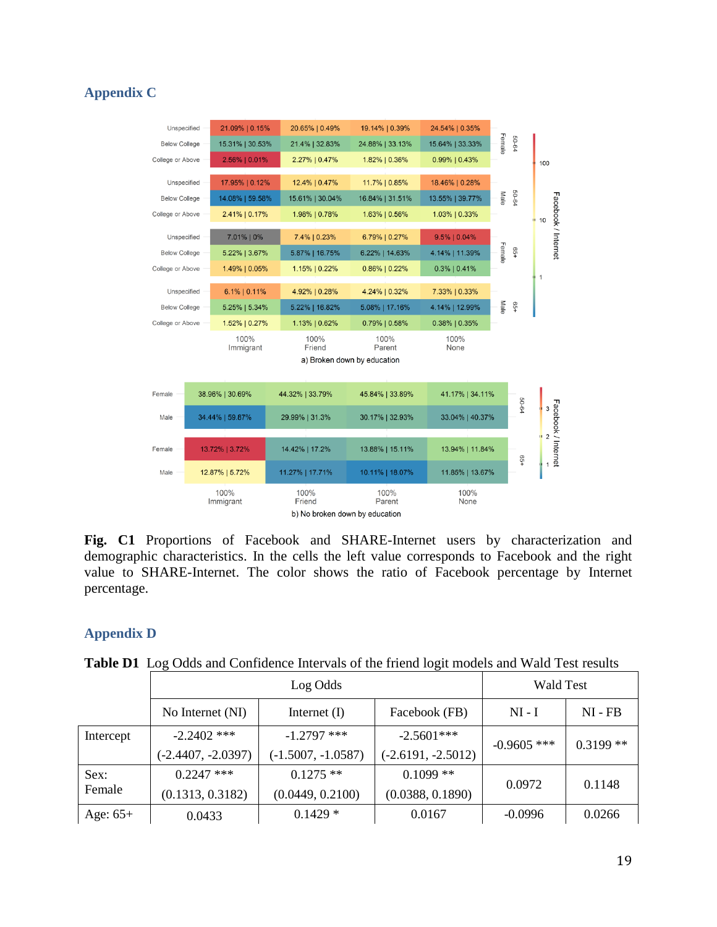## **Appendix C**



**Fig. C1** Proportions of Facebook and SHARE-Internet users by characterization and demographic characteristics. In the cells the left value corresponds to Facebook and the right value to SHARE-Internet. The color shows the ratio of Facebook percentage by Internet percentage.

## **Appendix D**

|            | Log Odds             |                      |                      | <b>Wald Test</b> |            |
|------------|----------------------|----------------------|----------------------|------------------|------------|
|            | No Internet (NI)     | Internet $(I)$       | Facebook (FB)        | $NI - I$         | $NI - FB$  |
| Intercept  | $-2.2402$ ***        | $-1.2797$ ***        | $-2.5601***$         | $-0.9605$ ***    | $0.3199**$ |
|            | $(-2.4407, -2.0397)$ | $(-1.5007, -1.0587)$ | $(-2.6191, -2.5012)$ |                  |            |
| Sex:       | $0.2247$ ***         | $0.1275$ **          | $0.1099**$           | 0.0972           | 0.1148     |
| Female     | (0.1313, 0.3182)     | (0.0449, 0.2100)     | (0.0388, 0.1890)     |                  |            |
| Age: $65+$ | 0.0433               | $0.1429*$            | 0.0167               | $-0.0996$        | 0.0266     |

**Table D1** Log Odds and Confidence Intervals of the friend logit models and Wald Test results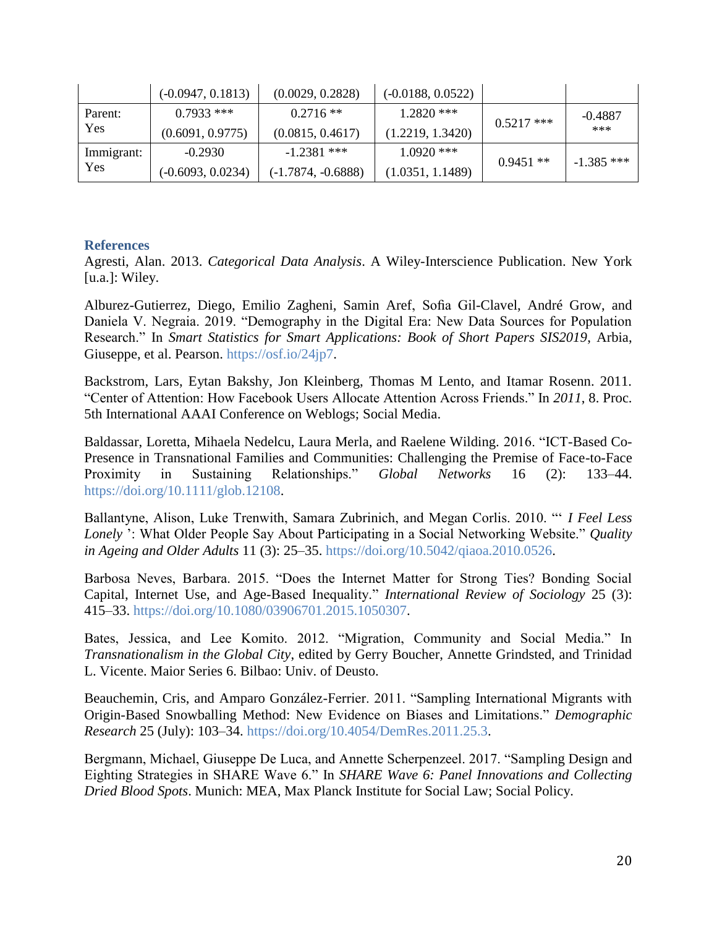|            | $(-0.0947, 0.1813)$ | (0.0029, 0.2828)     | $(-0.0188, 0.0522)$ |              |              |
|------------|---------------------|----------------------|---------------------|--------------|--------------|
| Parent:    | $0.7933$ ***        | $0.2716**$           | $1.2820$ ***        | $0.5217$ *** | $-0.4887$    |
| Yes        | (0.6091, 0.9775)    | (0.0815, 0.4617)     | (1.2219, 1.3420)    |              | ***          |
| Immigrant: | $-0.2930$           | $-1.2381$ ***        | $1.0920$ ***        | $0.9451**$   | $-1.385$ *** |
| Yes        | $(-0.6093, 0.0234)$ | $(-1.7874, -0.6888)$ | (1.0351, 1.1489)    |              |              |

#### **References**

Agresti, Alan. 2013. *Categorical Data Analysis*. A Wiley-Interscience Publication. New York [u.a.]: Wiley.

Alburez-Gutierrez, Diego, Emilio Zagheni, Samin Aref, Sofia Gil-Clavel, André Grow, and Daniela V. Negraia. 2019. "Demography in the Digital Era: New Data Sources for Population Research." In *Smart Statistics for Smart Applications: Book of Short Papers SIS2019*, Arbia, Giuseppe, et al. Pearson. [https://osf.io/24jp7.](https://osf.io/24jp7)

Backstrom, Lars, Eytan Bakshy, Jon Kleinberg, Thomas M Lento, and Itamar Rosenn. 2011. "Center of Attention: How Facebook Users Allocate Attention Across Friends." In *2011*, 8. Proc. 5th International AAAI Conference on Weblogs; Social Media.

Baldassar, Loretta, Mihaela Nedelcu, Laura Merla, and Raelene Wilding. 2016. "ICT-Based Co-Presence in Transnational Families and Communities: Challenging the Premise of Face-to-Face Proximity in Sustaining Relationships." *Global Networks* 16 (2): 133–44. [https://doi.org/10.1111/glob.12108.](https://doi.org/10.1111/glob.12108)

Ballantyne, Alison, Luke Trenwith, Samara Zubrinich, and Megan Corlis. 2010. "' *I Feel Less Lonely* ': What Older People Say About Participating in a Social Networking Website." *Quality in Ageing and Older Adults* 11 (3): 25–35. [https://doi.org/10.5042/qiaoa.2010.0526.](https://doi.org/10.5042/qiaoa.2010.0526)

Barbosa Neves, Barbara. 2015. "Does the Internet Matter for Strong Ties? Bonding Social Capital, Internet Use, and Age-Based Inequality." *International Review of Sociology* 25 (3): 415–33. [https://doi.org/10.1080/03906701.2015.1050307.](https://doi.org/10.1080/03906701.2015.1050307)

Bates, Jessica, and Lee Komito. 2012. "Migration, Community and Social Media." In *Transnationalism in the Global City*, edited by Gerry Boucher, Annette Grindsted, and Trinidad L. Vicente. Maior Series 6. Bilbao: Univ. of Deusto.

Beauchemin, Cris, and Amparo González-Ferrier. 2011. "Sampling International Migrants with Origin-Based Snowballing Method: New Evidence on Biases and Limitations." *Demographic Research* 25 (July): 103–34. [https://doi.org/10.4054/DemRes.2011.25.3.](https://doi.org/10.4054/DemRes.2011.25.3)

Bergmann, Michael, Giuseppe De Luca, and Annette Scherpenzeel. 2017. "Sampling Design and Eighting Strategies in SHARE Wave 6." In *SHARE Wave 6: Panel Innovations and Collecting Dried Blood Spots*. Munich: MEA, Max Planck Institute for Social Law; Social Policy.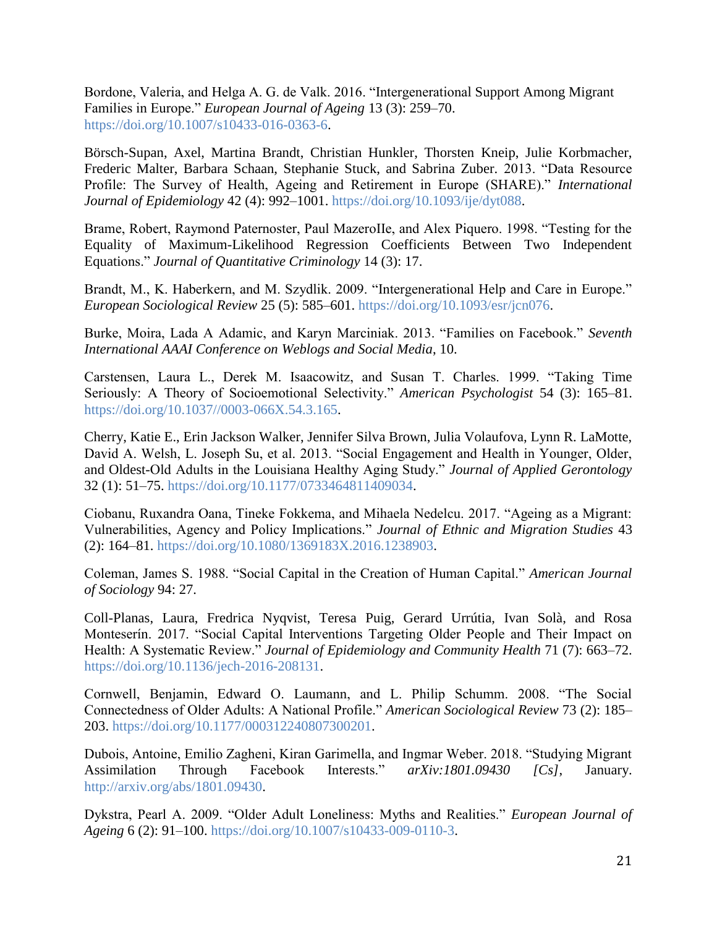Bordone, Valeria, and Helga A. G. de Valk. 2016. "Intergenerational Support Among Migrant Families in Europe." *European Journal of Ageing* 13 (3): 259–70. [https://doi.org/10.1007/s10433-016-0363-6.](https://doi.org/10.1007/s10433-016-0363-6)

Börsch-Supan, Axel, Martina Brandt, Christian Hunkler, Thorsten Kneip, Julie Korbmacher, Frederic Malter, Barbara Schaan, Stephanie Stuck, and Sabrina Zuber. 2013. "Data Resource Profile: The Survey of Health, Ageing and Retirement in Europe (SHARE)." *International Journal of Epidemiology* 42 (4): 992–1001. [https://doi.org/10.1093/ije/dyt088.](https://doi.org/10.1093/ije/dyt088)

Brame, Robert, Raymond Paternoster, Paul MazeroIIe, and Alex Piquero. 1998. "Testing for the Equality of Maximum-Likelihood Regression Coefficients Between Two Independent Equations." *Journal of Quantitative Criminology* 14 (3): 17.

Brandt, M., K. Haberkern, and M. Szydlik. 2009. "Intergenerational Help and Care in Europe." *European Sociological Review* 25 (5): 585–601. [https://doi.org/10.1093/esr/jcn076.](https://doi.org/10.1093/esr/jcn076)

Burke, Moira, Lada A Adamic, and Karyn Marciniak. 2013. "Families on Facebook." *Seventh International AAAI Conference on Weblogs and Social Media*, 10.

Carstensen, Laura L., Derek M. Isaacowitz, and Susan T. Charles. 1999. "Taking Time Seriously: A Theory of Socioemotional Selectivity." *American Psychologist* 54 (3): 165–81. [https://doi.org/10.1037//0003-066X.54.3.165.](https://doi.org/10.1037/0003-066X.54.3.165)

Cherry, Katie E., Erin Jackson Walker, Jennifer Silva Brown, Julia Volaufova, Lynn R. LaMotte, David A. Welsh, L. Joseph Su, et al. 2013. "Social Engagement and Health in Younger, Older, and Oldest-Old Adults in the Louisiana Healthy Aging Study." *Journal of Applied Gerontology* 32 (1): 51–75. [https://doi.org/10.1177/0733464811409034.](https://doi.org/10.1177/0733464811409034)

Ciobanu, Ruxandra Oana, Tineke Fokkema, and Mihaela Nedelcu. 2017. "Ageing as a Migrant: Vulnerabilities, Agency and Policy Implications." *Journal of Ethnic and Migration Studies* 43 (2): 164–81. [https://doi.org/10.1080/1369183X.2016.1238903.](https://doi.org/10.1080/1369183X.2016.1238903)

Coleman, James S. 1988. "Social Capital in the Creation of Human Capital." *American Journal of Sociology* 94: 27.

Coll-Planas, Laura, Fredrica Nyqvist, Teresa Puig, Gerard Urrútia, Ivan Solà, and Rosa Monteserín. 2017. "Social Capital Interventions Targeting Older People and Their Impact on Health: A Systematic Review." *Journal of Epidemiology and Community Health* 71 (7): 663–72. [https://doi.org/10.1136/jech-2016-208131.](https://doi.org/10.1136/jech-2016-208131)

Cornwell, Benjamin, Edward O. Laumann, and L. Philip Schumm. 2008. "The Social Connectedness of Older Adults: A National Profile." *American Sociological Review* 73 (2): 185– 203. [https://doi.org/10.1177/000312240807300201.](https://doi.org/10.1177/000312240807300201)

Dubois, Antoine, Emilio Zagheni, Kiran Garimella, and Ingmar Weber. 2018. "Studying Migrant Assimilation Through Facebook Interests." *arXiv:1801.09430 [Cs]*, January. [http://arxiv.org/abs/1801.09430.](http://arxiv.org/abs/1801.09430)

Dykstra, Pearl A. 2009. "Older Adult Loneliness: Myths and Realities." *European Journal of Ageing* 6 (2): 91–100. [https://doi.org/10.1007/s10433-009-0110-3.](https://doi.org/10.1007/s10433-009-0110-3)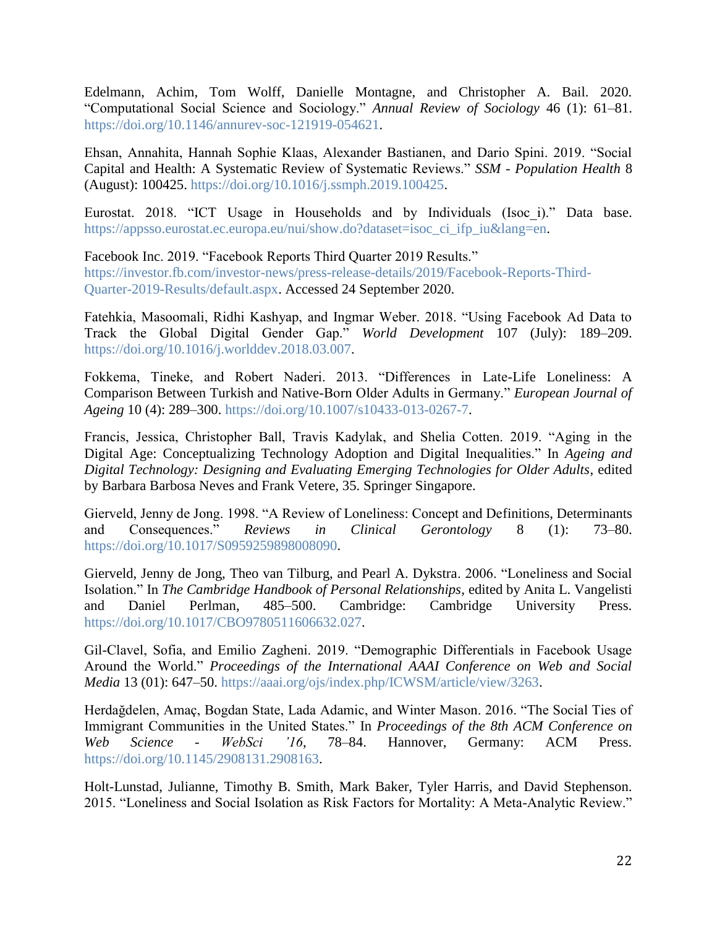Edelmann, Achim, Tom Wolff, Danielle Montagne, and Christopher A. Bail. 2020. "Computational Social Science and Sociology." *Annual Review of Sociology* 46 (1): 61–81. [https://doi.org/10.1146/annurev-soc-121919-054621.](https://doi.org/10.1146/annurev-soc-121919-054621)

Ehsan, Annahita, Hannah Sophie Klaas, Alexander Bastianen, and Dario Spini. 2019. "Social Capital and Health: A Systematic Review of Systematic Reviews." *SSM - Population Health* 8 (August): 100425. [https://doi.org/10.1016/j.ssmph.2019.100425.](https://doi.org/10.1016/j.ssmph.2019.100425)

Eurostat. 2018. "ICT Usage in Households and by Individuals (Isoc\_i)." Data base. [https://appsso.eurostat.ec.europa.eu/nui/show.do?dataset=isoc\\_ci\\_ifp\\_iu&lang=en.](https://appsso.eurostat.ec.europa.eu/nui/show.do?dataset=isoc_ci_ifp_iu&lang=en)

Facebook Inc. 2019. "Facebook Reports Third Quarter 2019 Results." [https://investor.fb.com/investor-news/press-release-details/2019/Facebook-Reports-Third-](https://investor.fb.com/investor-news/press-release-details/2019/Facebook-Reports-Third-Quarter-2019-Results/default.aspx)[Quarter-2019-Results/default.aspx.](https://investor.fb.com/investor-news/press-release-details/2019/Facebook-Reports-Third-Quarter-2019-Results/default.aspx) Accessed 24 September 2020.

Fatehkia, Masoomali, Ridhi Kashyap, and Ingmar Weber. 2018. "Using Facebook Ad Data to Track the Global Digital Gender Gap." *World Development* 107 (July): 189–209. [https://doi.org/10.1016/j.worlddev.2018.03.007.](https://doi.org/10.1016/j.worlddev.2018.03.007)

Fokkema, Tineke, and Robert Naderi. 2013. "Differences in Late-Life Loneliness: A Comparison Between Turkish and Native-Born Older Adults in Germany." *European Journal of Ageing* 10 (4): 289–300. [https://doi.org/10.1007/s10433-013-0267-7.](https://doi.org/10.1007/s10433-013-0267-7)

Francis, Jessica, Christopher Ball, Travis Kadylak, and Shelia Cotten. 2019. "Aging in the Digital Age: Conceptualizing Technology Adoption and Digital Inequalities." In *Ageing and Digital Technology: Designing and Evaluating Emerging Technologies for Older Adults*, edited by Barbara Barbosa Neves and Frank Vetere, 35. Springer Singapore.

Gierveld, Jenny de Jong. 1998. "A Review of Loneliness: Concept and Definitions, Determinants and Consequences." *Reviews in Clinical Gerontology* 8 (1): 73–80. [https://doi.org/10.1017/S0959259898008090.](https://doi.org/10.1017/S0959259898008090)

Gierveld, Jenny de Jong, Theo van Tilburg, and Pearl A. Dykstra. 2006. "Loneliness and Social Isolation." In *The Cambridge Handbook of Personal Relationships*, edited by Anita L. Vangelisti and Daniel Perlman, 485–500. Cambridge: Cambridge University Press. [https://doi.org/10.1017/CBO9780511606632.027.](https://doi.org/10.1017/CBO9780511606632.027)

Gil-Clavel, Sofia, and Emilio Zagheni. 2019. "Demographic Differentials in Facebook Usage Around the World." *Proceedings of the International AAAI Conference on Web and Social Media* 13 (01): 647–50. [https://aaai.org/ojs/index.php/ICWSM/article/view/3263.](https://aaai.org/ojs/index.php/ICWSM/article/view/3263)

Herdağdelen, Amaç, Bogdan State, Lada Adamic, and Winter Mason. 2016. "The Social Ties of Immigrant Communities in the United States." In *Proceedings of the 8th ACM Conference on Web Science - WebSci '16*, 78–84. Hannover, Germany: ACM Press. [https://doi.org/10.1145/2908131.2908163.](https://doi.org/10.1145/2908131.2908163)

Holt-Lunstad, Julianne, Timothy B. Smith, Mark Baker, Tyler Harris, and David Stephenson. 2015. "Loneliness and Social Isolation as Risk Factors for Mortality: A Meta-Analytic Review."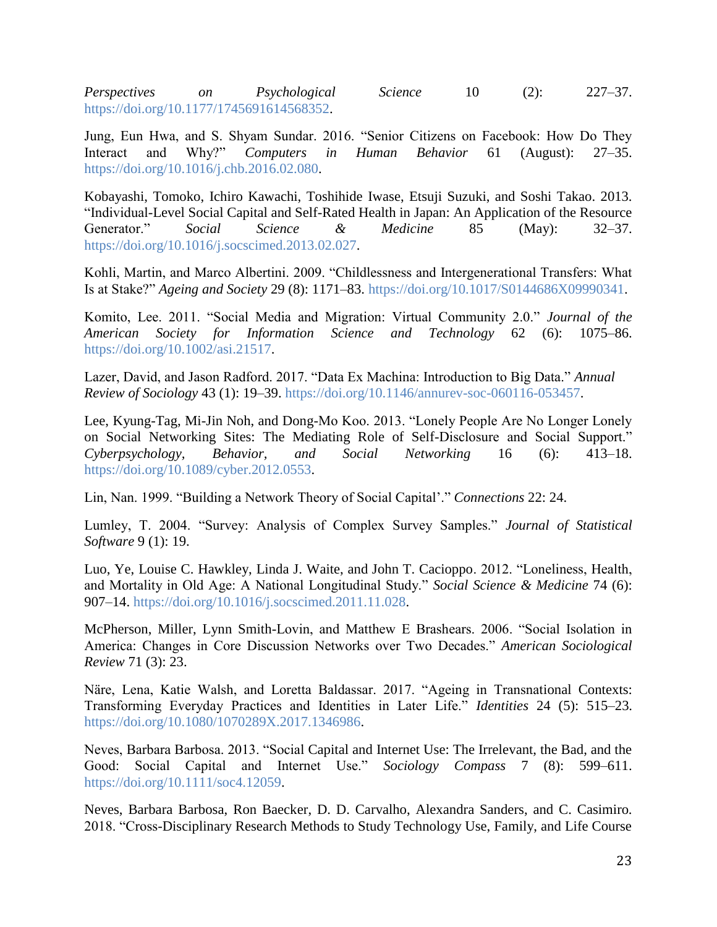*Perspectives on Psychological Science* 10 (2): 227–37. [https://doi.org/10.1177/1745691614568352.](https://doi.org/10.1177/1745691614568352)

Jung, Eun Hwa, and S. Shyam Sundar. 2016. "Senior Citizens on Facebook: How Do They Interact and Why?" *Computers in Human Behavior* 61 (August): 27–35. [https://doi.org/10.1016/j.chb.2016.02.080.](https://doi.org/10.1016/j.chb.2016.02.080)

Kobayashi, Tomoko, Ichiro Kawachi, Toshihide Iwase, Etsuji Suzuki, and Soshi Takao. 2013. "Individual-Level Social Capital and Self-Rated Health in Japan: An Application of the Resource Generator." *Social Science & Medicine* 85 (May): 32–37. [https://doi.org/10.1016/j.socscimed.2013.02.027.](https://doi.org/10.1016/j.socscimed.2013.02.027)

Kohli, Martin, and Marco Albertini. 2009. "Childlessness and Intergenerational Transfers: What Is at Stake?" *Ageing and Society* 29 (8): 1171–83. [https://doi.org/10.1017/S0144686X09990341.](https://doi.org/10.1017/S0144686X09990341)

Komito, Lee. 2011. "Social Media and Migration: Virtual Community 2.0." *Journal of the American Society for Information Science and Technology* 62 (6): 1075–86. [https://doi.org/10.1002/asi.21517.](https://doi.org/10.1002/asi.21517)

Lazer, David, and Jason Radford. 2017. "Data Ex Machina: Introduction to Big Data." *Annual Review of Sociology* 43 (1): 19–39. [https://doi.org/10.1146/annurev-soc-060116-053457.](https://doi.org/10.1146/annurev-soc-060116-053457)

Lee, Kyung-Tag, Mi-Jin Noh, and Dong-Mo Koo. 2013. "Lonely People Are No Longer Lonely on Social Networking Sites: The Mediating Role of Self-Disclosure and Social Support." *Cyberpsychology, Behavior, and Social Networking* 16 (6): 413–18. [https://doi.org/10.1089/cyber.2012.0553.](https://doi.org/10.1089/cyber.2012.0553)

Lin, Nan. 1999. "Building a Network Theory of Social Capital'." *Connections* 22: 24.

Lumley, T. 2004. "Survey: Analysis of Complex Survey Samples." *Journal of Statistical Software* 9 (1): 19.

Luo, Ye, Louise C. Hawkley, Linda J. Waite, and John T. Cacioppo. 2012. "Loneliness, Health, and Mortality in Old Age: A National Longitudinal Study." *Social Science & Medicine* 74 (6): 907–14. [https://doi.org/10.1016/j.socscimed.2011.11.028.](https://doi.org/10.1016/j.socscimed.2011.11.028)

McPherson, Miller, Lynn Smith-Lovin, and Matthew E Brashears. 2006. "Social Isolation in America: Changes in Core Discussion Networks over Two Decades." *American Sociological Review* 71 (3): 23.

Näre, Lena, Katie Walsh, and Loretta Baldassar. 2017. "Ageing in Transnational Contexts: Transforming Everyday Practices and Identities in Later Life." *Identities* 24 (5): 515–23. [https://doi.org/10.1080/1070289X.2017.1346986.](https://doi.org/10.1080/1070289X.2017.1346986)

Neves, Barbara Barbosa. 2013. "Social Capital and Internet Use: The Irrelevant, the Bad, and the Good: Social Capital and Internet Use." *Sociology Compass* 7 (8): 599–611. [https://doi.org/10.1111/soc4.12059.](https://doi.org/10.1111/soc4.12059)

Neves, Barbara Barbosa, Ron Baecker, D. D. Carvalho, Alexandra Sanders, and C. Casimiro. 2018. "Cross-Disciplinary Research Methods to Study Technology Use, Family, and Life Course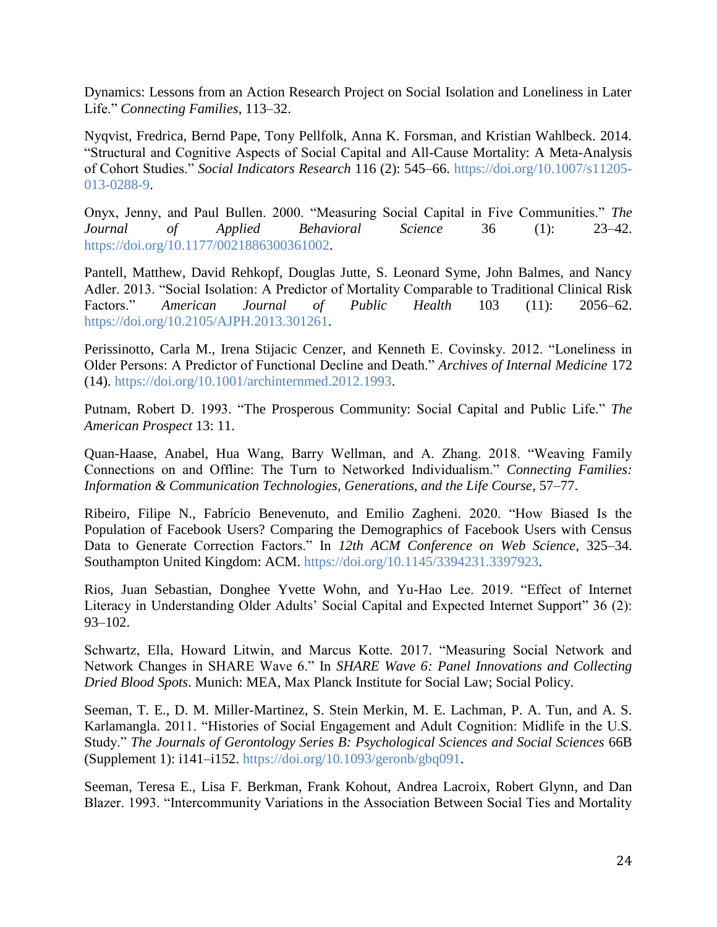Dynamics: Lessons from an Action Research Project on Social Isolation and Loneliness in Later Life." *Connecting Families*, 113–32.

Nyqvist, Fredrica, Bernd Pape, Tony Pellfolk, Anna K. Forsman, and Kristian Wahlbeck. 2014. "Structural and Cognitive Aspects of Social Capital and All-Cause Mortality: A Meta-Analysis of Cohort Studies." *Social Indicators Research* 116 (2): 545–66. [https://doi.org/10.1007/s11205-](https://doi.org/10.1007/s11205-013-0288-9) [013-0288-9.](https://doi.org/10.1007/s11205-013-0288-9)

Onyx, Jenny, and Paul Bullen. 2000. "Measuring Social Capital in Five Communities." *The Journal of Applied Behavioral Science* 36 (1): 23–42. [https://doi.org/10.1177/0021886300361002.](https://doi.org/10.1177/0021886300361002)

Pantell, Matthew, David Rehkopf, Douglas Jutte, S. Leonard Syme, John Balmes, and Nancy Adler. 2013. "Social Isolation: A Predictor of Mortality Comparable to Traditional Clinical Risk Factors." *American Journal of Public Health* 103 (11): 2056–62. [https://doi.org/10.2105/AJPH.2013.301261.](https://doi.org/10.2105/AJPH.2013.301261)

Perissinotto, Carla M., Irena Stijacic Cenzer, and Kenneth E. Covinsky. 2012. "Loneliness in Older Persons: A Predictor of Functional Decline and Death." *Archives of Internal Medicine* 172 (14). [https://doi.org/10.1001/archinternmed.2012.1993.](https://doi.org/10.1001/archinternmed.2012.1993)

Putnam, Robert D. 1993. "The Prosperous Community: Social Capital and Public Life." *The American Prospect* 13: 11.

Quan-Haase, Anabel, Hua Wang, Barry Wellman, and A. Zhang. 2018. "Weaving Family Connections on and Offline: The Turn to Networked Individualism." *Connecting Families: Information & Communication Technologies, Generations, and the Life Course*, 57–77.

Ribeiro, Filipe N., Fabrício Benevenuto, and Emilio Zagheni. 2020. "How Biased Is the Population of Facebook Users? Comparing the Demographics of Facebook Users with Census Data to Generate Correction Factors." In *12th ACM Conference on Web Science*, 325–34. Southampton United Kingdom: ACM. [https://doi.org/10.1145/3394231.3397923.](https://doi.org/10.1145/3394231.3397923)

Rios, Juan Sebastian, Donghee Yvette Wohn, and Yu-Hao Lee. 2019. "Effect of Internet Literacy in Understanding Older Adults' Social Capital and Expected Internet Support" 36 (2): 93–102.

Schwartz, Ella, Howard Litwin, and Marcus Kotte. 2017. "Measuring Social Network and Network Changes in SHARE Wave 6." In *SHARE Wave 6: Panel Innovations and Collecting Dried Blood Spots*. Munich: MEA, Max Planck Institute for Social Law; Social Policy.

Seeman, T. E., D. M. Miller-Martinez, S. Stein Merkin, M. E. Lachman, P. A. Tun, and A. S. Karlamangla. 2011. "Histories of Social Engagement and Adult Cognition: Midlife in the U.S. Study." *The Journals of Gerontology Series B: Psychological Sciences and Social Sciences* 66B (Supplement 1): i141–i152. [https://doi.org/10.1093/geronb/gbq091.](https://doi.org/10.1093/geronb/gbq091)

Seeman, Teresa E., Lisa F. Berkman, Frank Kohout, Andrea Lacroix, Robert Glynn, and Dan Blazer. 1993. "Intercommunity Variations in the Association Between Social Ties and Mortality